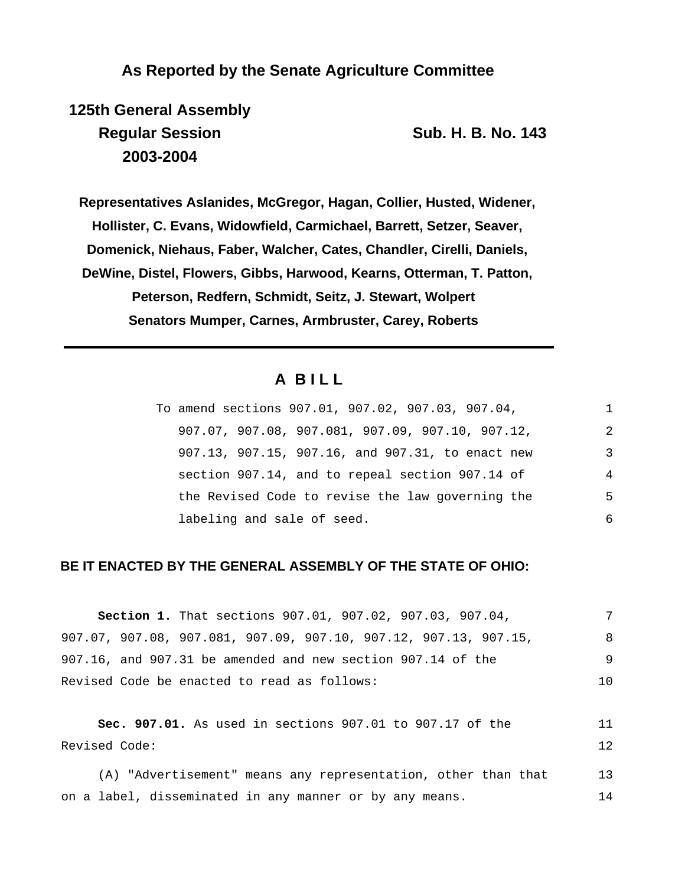## **As Reported by the Senate Agriculture Committee**

**125th General Assembly Regular Session Sub. H. B. No. 143 2003-2004**

**Representatives Aslanides, McGregor, Hagan, Collier, Husted, Widener,**

**Hollister, C. Evans, Widowfield, Carmichael, Barrett, Setzer, Seaver,**

**Domenick, Niehaus, Faber, Walcher, Cates, Chandler, Cirelli, Daniels,**

**DeWine, Distel, Flowers, Gibbs, Harwood, Kearns, Otterman, T. Patton, Peterson, Redfern, Schmidt, Seitz, J. Stewart, Wolpert Senators Mumper, Carnes, Armbruster, Carey, Roberts**

# **A B I L L**

| To amend sections 907.01, 907.02, 907.03, 907.04, | 1 |
|---------------------------------------------------|---|
| 907.07, 907.08, 907.081, 907.09, 907.10, 907.12,  | 2 |
| 907.13, 907.15, 907.16, and 907.31, to enact new  | 3 |
| section 907.14, and to repeal section 907.14 of   | 4 |
| the Revised Code to revise the law governing the  | 5 |
| labeling and sale of seed.                        | 6 |

## **BE IT ENACTED BY THE GENERAL ASSEMBLY OF THE STATE OF OHIO:**

| <b>Section 1.</b> That sections 907.01, 907.02, 907.03, 907.04,    |     |
|--------------------------------------------------------------------|-----|
| $907.07, 907.08, 907.081, 907.09, 907.10, 907.12, 907.13, 907.15,$ | 8   |
| 907.16, and 907.31 be amended and new section 907.14 of the        | 9   |
| Revised Code be enacted to read as follows:                        | 1 O |

**Sec. 907.01.** As used in sections 907.01 to 907.17 of the Revised Code: 11 12

(A) "Advertisement" means any representation, other than that on a label, disseminated in any manner or by any means. 13 14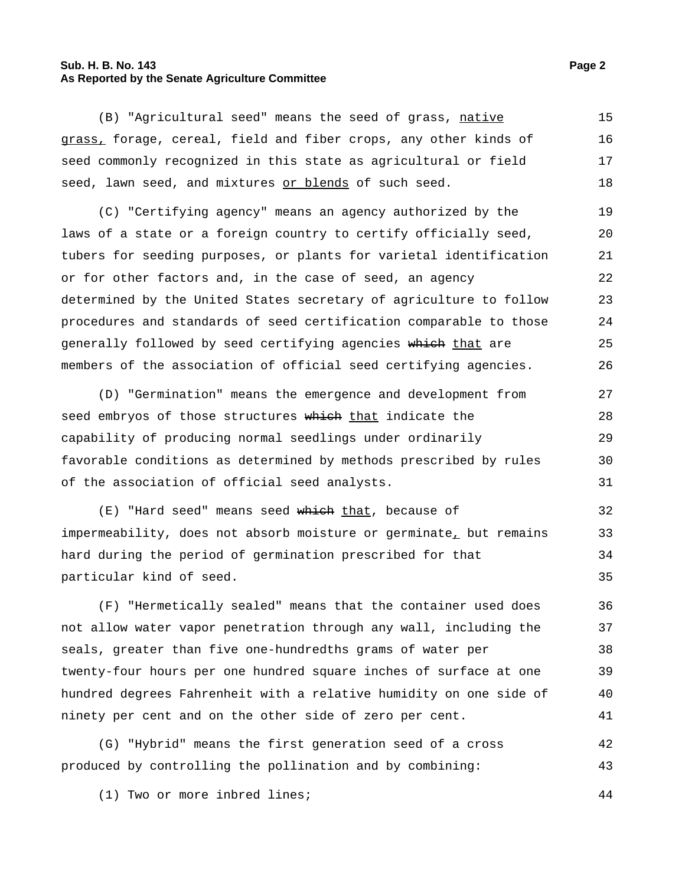#### **Sub. H. B. No. 143 Page 2 As Reported by the Senate Agriculture Committee**

(B) "Agricultural seed" means the seed of grass, native grass, forage, cereal, field and fiber crops, any other kinds of seed commonly recognized in this state as agricultural or field seed, lawn seed, and mixtures or blends of such seed. 15 16 17 18

(C) "Certifying agency" means an agency authorized by the laws of a state or a foreign country to certify officially seed, tubers for seeding purposes, or plants for varietal identification or for other factors and, in the case of seed, an agency determined by the United States secretary of agriculture to follow procedures and standards of seed certification comparable to those generally followed by seed certifying agencies which that are members of the association of official seed certifying agencies. 19 20 21 22 23 24 25 26

(D) "Germination" means the emergence and development from seed embryos of those structures which that indicate the capability of producing normal seedlings under ordinarily favorable conditions as determined by methods prescribed by rules of the association of official seed analysts. 27 28 29 30 31

(E) "Hard seed" means seed which that, because of impermeability, does not absorb moisture or germinate, but remains hard during the period of germination prescribed for that particular kind of seed. 32 33 34 35

(F) "Hermetically sealed" means that the container used does not allow water vapor penetration through any wall, including the seals, greater than five one-hundredths grams of water per twenty-four hours per one hundred square inches of surface at one hundred degrees Fahrenheit with a relative humidity on one side of ninety per cent and on the other side of zero per cent. 36 37 38 39 40 41

(G) "Hybrid" means the first generation seed of a cross produced by controlling the pollination and by combining: 42 43

(1) Two or more inbred lines; 44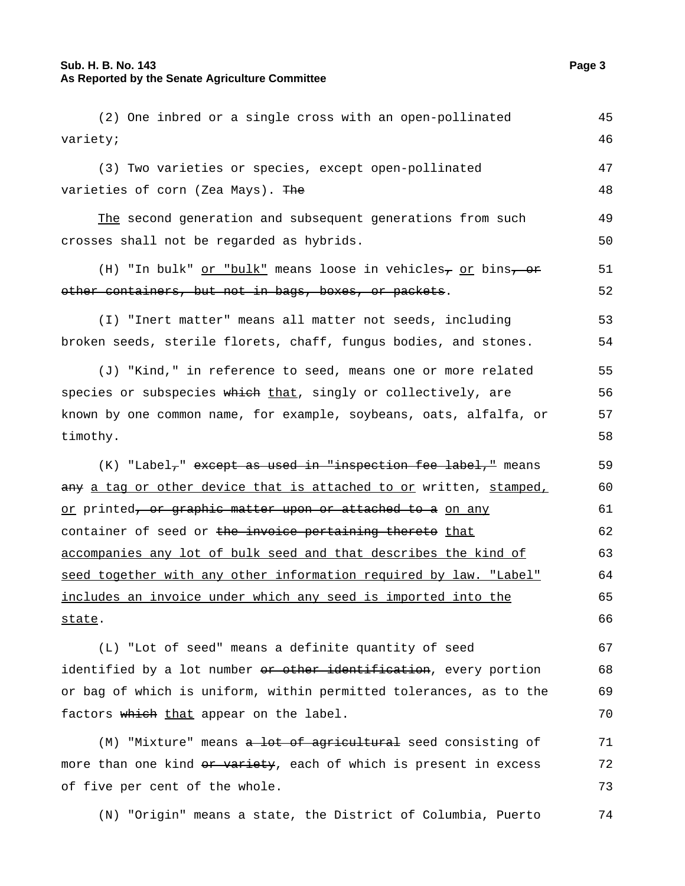## **Sub. H. B. No. 143 Page 3 As Reported by the Senate Agriculture Committee**

| (2) One inbred or a single cross with an open-pollinated                                    | 45 |
|---------------------------------------------------------------------------------------------|----|
| variety;                                                                                    | 46 |
| (3) Two varieties or species, except open-pollinated                                        | 47 |
| varieties of corn (Zea Mays). The                                                           | 48 |
| The second generation and subsequent generations from such                                  | 49 |
| crosses shall not be regarded as hybrids.                                                   | 50 |
| (H) "In bulk" <u>or "bulk"</u> means loose in vehicles <sub>7</sub> or bins, or             | 51 |
| other containers, but not in bags, boxes, or packets.                                       | 52 |
| (I) "Inert matter" means all matter not seeds, including                                    | 53 |
| broken seeds, sterile florets, chaff, fungus bodies, and stones.                            | 54 |
| (J) "Kind," in reference to seed, means one or more related                                 | 55 |
| species or subspecies which that, singly or collectively, are                               | 56 |
| known by one common name, for example, soybeans, oats, alfalfa, or                          | 57 |
| timothy.                                                                                    | 58 |
| (K) "Label <sub>7</sub> " except as used in "inspection fee label," means                   | 59 |
| <del>any</del> <u>a tag or other device that is attached to or</u> written, <u>stamped,</u> | 60 |
| <u>or</u> printed <del>, or graphic matter upon or attached to a</del> <u>on any</u>        | 61 |
| container of seed or the invoice pertaining thereto that                                    | 62 |
| accompanies any lot of bulk seed and that describes the kind of                             | 63 |
| seed together with any other information required by law. "Label"                           | 64 |
| includes an invoice under which any seed is imported into the                               | 65 |
| <u>state</u> .                                                                              | 66 |
| (L) "Lot of seed" means a definite quantity of seed                                         | 67 |
| identified by a lot number or other identification, every portion                           | 68 |
| or bag of which is uniform, within permitted tolerances, as to the                          | 69 |
| factors which that appear on the label.                                                     | 70 |
| (M) "Mixture" means a lot of agricultural seed consisting of                                | 71 |
| more than one kind <del>or variety</del> , each of which is present in excess               | 72 |
| of five per cent of the whole.                                                              | 73 |
|                                                                                             |    |

(N) "Origin" means a state, the District of Columbia, Puerto 74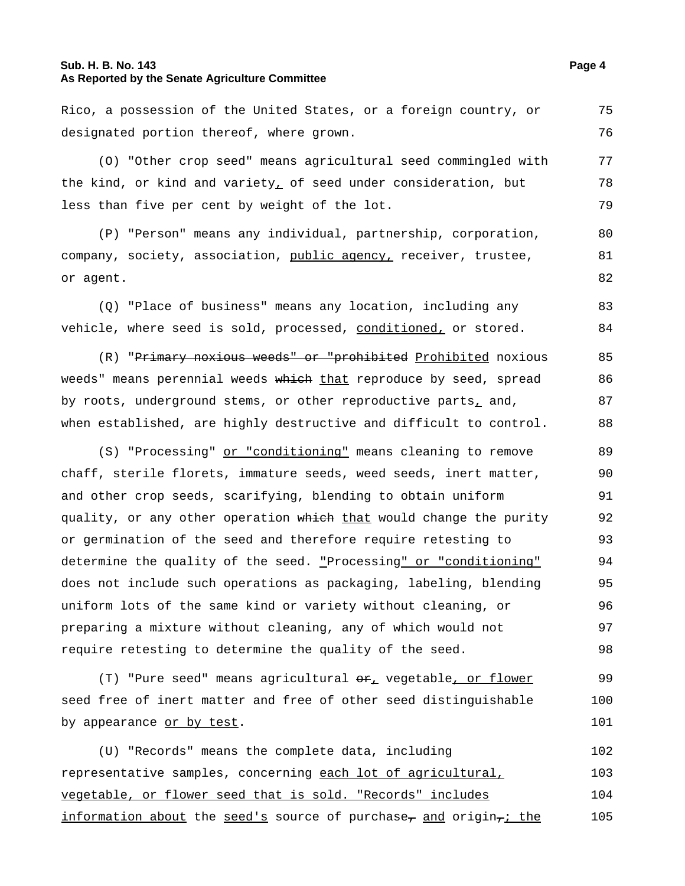#### **Sub. H. B. No. 143 Page 4 As Reported by the Senate Agriculture Committee**

designated portion thereof, where grown. 76 (O) "Other crop seed" means agricultural seed commingled with the kind, or kind and variety, of seed under consideration, but less than five per cent by weight of the lot. 77 78 79 (P) "Person" means any individual, partnership, corporation, company, society, association, public agency, receiver, trustee, or agent. 80 81 (Q) "Place of business" means any location, including any vehicle, where seed is sold, processed, conditioned, or stored. 83 84 (R) "Primary noxious weeds" or "prohibited Prohibited noxious weeds" means perennial weeds which that reproduce by seed, spread 85 86

Rico, a possession of the United States, or a foreign country, or

by roots, underground stems, or other reproductive parts $<sub>L</sub>$  and,</sub> when established, are highly destructive and difficult to control. 87 88

(S) "Processing" or "conditioning" means cleaning to remove chaff, sterile florets, immature seeds, weed seeds, inert matter, and other crop seeds, scarifying, blending to obtain uniform quality, or any other operation which that would change the purity or germination of the seed and therefore require retesting to determine the quality of the seed. "Processing" or "conditioning" does not include such operations as packaging, labeling, blending uniform lots of the same kind or variety without cleaning, or preparing a mixture without cleaning, any of which would not require retesting to determine the quality of the seed. 89 90 91 92 93 94 95 96 97 98

 $(T)$  "Pure seed" means agricultural  $\Theta$ r, vegetable, or flower seed free of inert matter and free of other seed distinguishable by appearance or by test. 99 100 101

(U) "Records" means the complete data, including representative samples, concerning each lot of agricultural, vegetable, or flower seed that is sold. "Records" includes information about the seed's source of purchase, and origin, the 102 103 104 105

75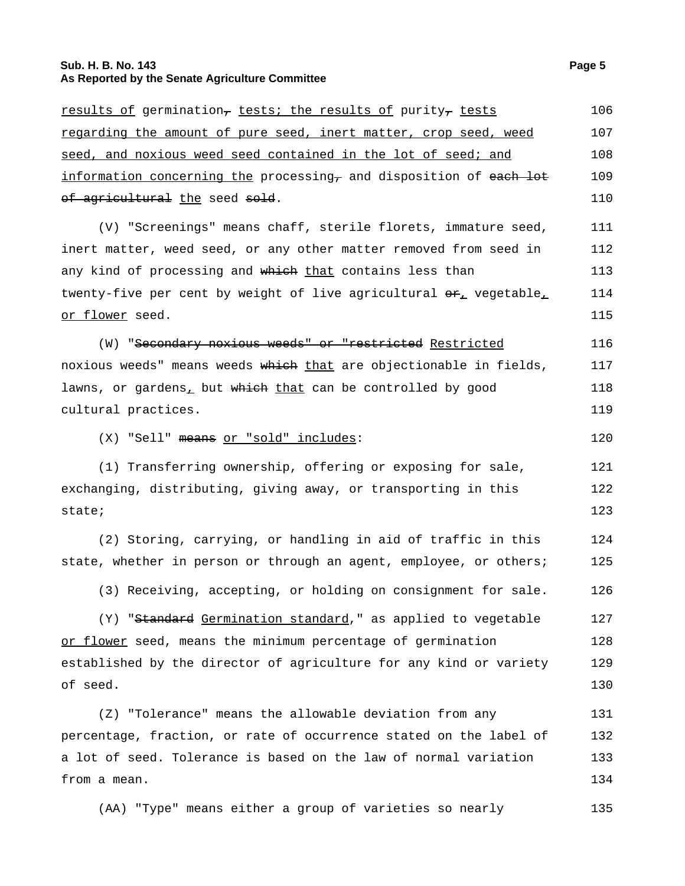## **Sub. H. B. No. 143 Page 5 As Reported by the Senate Agriculture Committee**

| <u>results of</u> germination <del>,</del> tests; the results of purity <del>,</del> tests | 106 |
|--------------------------------------------------------------------------------------------|-----|
| regarding the amount of pure seed, inert matter, crop seed, weed                           | 107 |
| <u>seed, and noxious weed seed contained in the lot of seed; and </u>                      | 108 |
| information concerning the processing, and disposition of each lot                         | 109 |
| <del>of agricultural</del> <u>the</u> seed <del>sold</del> .                               | 110 |
| (V) "Screenings" means chaff, sterile florets, immature seed,                              | 111 |
| inert matter, weed seed, or any other matter removed from seed in                          | 112 |
| any kind of processing and which that contains less than                                   | 113 |
| twenty-five per cent by weight of live agricultural $\theta_{\perp}$ vegetable,            | 114 |
| <u>or flower</u> seed.                                                                     | 115 |
| (W) "Secondary noxious weeds" or "restricted Restricted                                    | 116 |
| noxious weeds" means weeds <del>which</del> that are objectionable in fields,              | 117 |
| lawns, or gardens, but which that can be controlled by good                                | 118 |
| cultural practices.                                                                        | 119 |
| (X) "Sell" means or "sold" includes:                                                       | 120 |
| (1) Transferring ownership, offering or exposing for sale,                                 | 121 |
| exchanging, distributing, giving away, or transporting in this                             | 122 |
| state;                                                                                     | 123 |
| (2) Storing, carrying, or handling in aid of traffic in this                               | 124 |
| state, whether in person or through an agent, employee, or others;                         | 125 |
| (3) Receiving, accepting, or holding on consignment for sale.                              | 126 |
| (Y) "Standard Germination standard," as applied to vegetable                               | 127 |
| or flower seed, means the minimum percentage of germination                                | 128 |
| established by the director of agriculture for any kind or variety                         | 129 |
| of seed.                                                                                   | 130 |
| (Z) "Tolerance" means the allowable deviation from any                                     | 131 |
| percentage, fraction, or rate of occurrence stated on the label of                         | 132 |
| a lot of seed. Tolerance is based on the law of normal variation                           | 133 |
| from a mean.                                                                               | 134 |
| (AA) "Type" means either a group of varieties so nearly                                    | 135 |
|                                                                                            |     |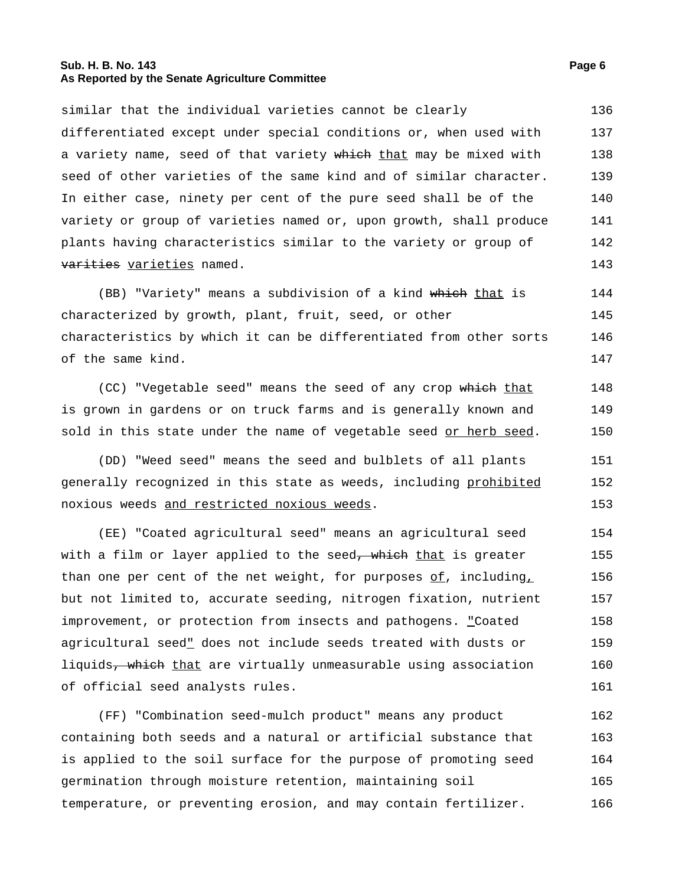#### **Sub. H. B. No. 143 Page 6 As Reported by the Senate Agriculture Committee**

similar that the individual varieties cannot be clearly differentiated except under special conditions or, when used with a variety name, seed of that variety which that may be mixed with seed of other varieties of the same kind and of similar character. In either case, ninety per cent of the pure seed shall be of the variety or group of varieties named or, upon growth, shall produce plants having characteristics similar to the variety or group of varities varieties named. 136 137 138 139 140 141 142 143

(BB) "Variety" means a subdivision of a kind which that is characterized by growth, plant, fruit, seed, or other characteristics by which it can be differentiated from other sorts of the same kind. 144 145 146 147

(CC) "Vegetable seed" means the seed of any crop which that is grown in gardens or on truck farms and is generally known and sold in this state under the name of vegetable seed or herb seed. 148 149 150

(DD) "Weed seed" means the seed and bulblets of all plants generally recognized in this state as weeds, including prohibited noxious weeds and restricted noxious weeds. 151 152 153

(EE) "Coated agricultural seed" means an agricultural seed with a film or layer applied to the seed<del>, which</del> that is greater than one per cent of the net weight, for purposes  $of$ , including, but not limited to, accurate seeding, nitrogen fixation, nutrient improvement, or protection from insects and pathogens. "Coated agricultural seed" does not include seeds treated with dusts or liquids, which that are virtually unmeasurable using association of official seed analysts rules. 154 155 156 157 158 159 160 161

(FF) "Combination seed-mulch product" means any product containing both seeds and a natural or artificial substance that is applied to the soil surface for the purpose of promoting seed germination through moisture retention, maintaining soil temperature, or preventing erosion, and may contain fertilizer. 162 163 164 165 166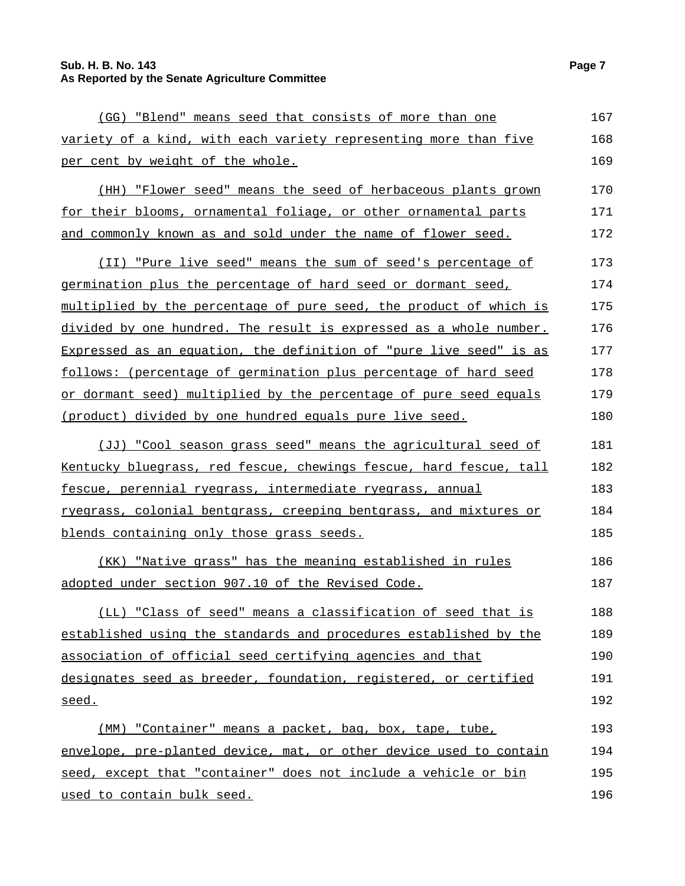## **Sub. H. B. No. 143 Page 7 As Reported by the Senate Agriculture Committee**

| (GG) "Blend" means seed that consists of more than one             | 167 |
|--------------------------------------------------------------------|-----|
| variety of a kind, with each variety representing more than five   | 168 |
| per cent by weight of the whole.                                   | 169 |
| (HH) "Flower seed" means the seed of herbaceous plants grown       | 170 |
| for their blooms, ornamental foliage, or other ornamental parts    | 171 |
| and commonly known as and sold under the name of flower seed.      | 172 |
| (II) "Pure live seed" means the sum of seed's percentage of        | 173 |
| germination plus the percentage of hard seed or dormant seed,      | 174 |
| multiplied by the percentage of pure seed, the product of which is | 175 |
| divided by one hundred. The result is expressed as a whole number. | 176 |
| Expressed as an equation, the definition of "pure live seed" is as | 177 |
| follows: (percentage of germination plus percentage of hard seed   | 178 |
| or dormant seed) multiplied by the percentage of pure seed equals  | 179 |
| <u>(product) divided by one hundred equals pure live seed.</u>     | 180 |
| (JJ) "Cool season grass seed" means the agricultural seed of       | 181 |
| Kentucky bluegrass, red fescue, chewings fescue, hard fescue, tall | 182 |
| fescue, perennial ryegrass, intermediate ryegrass, annual          | 183 |
| ryegrass, colonial bentgrass, creeping bentgrass, and mixtures or  | 184 |
| blends containing only those grass seeds.                          | 185 |
| (KK) "Native grass" has the meaning established in rules           | 186 |
| adopted under section 907.10 of the Revised Code.                  | 187 |
| (LL) "Class of seed" means a classification of seed that is        | 188 |
| established using the standards and procedures established by the  | 189 |
| association of official seed certifying agencies and that          | 190 |
| designates seed as breeder, foundation, registered, or certified   | 191 |
| seed.                                                              | 192 |
| (MM) "Container" means a packet, bag, box, tape, tube,             | 193 |
| envelope, pre-planted device, mat, or other device used to contain | 194 |
| seed, except that "container" does not include a vehicle or bin    | 195 |
| used to contain bulk seed.                                         | 196 |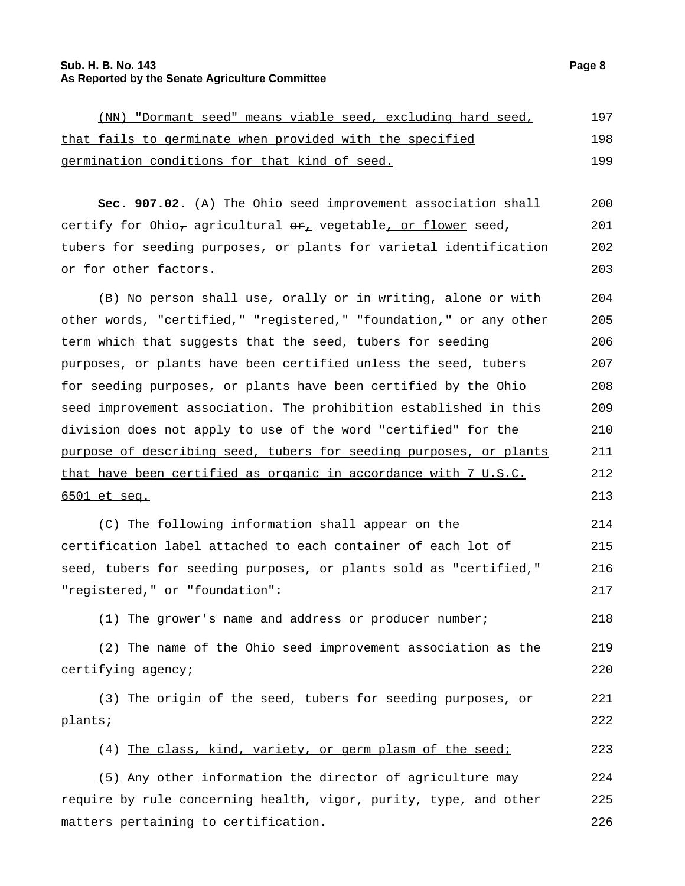#### **Sub. H. B. No. 143 Page 8 As Reported by the Senate Agriculture Committee**

|  | (NN) "Dormant seed" means viable seed, excluding hard seed, |  |  |  |  | 197 |  |
|--|-------------------------------------------------------------|--|--|--|--|-----|--|
|  | that fails to germinate when provided with the specified    |  |  |  |  | 198 |  |
|  | germination conditions for that kind of seed.               |  |  |  |  | 199 |  |

**Sec. 907.02.** (A) The Ohio seed improvement association shall certify for Ohio<sub>7</sub> agricultural  $\Theta_{L}$  vegetable, or flower seed, tubers for seeding purposes, or plants for varietal identification or for other factors. 200 201 202 203

(B) No person shall use, orally or in writing, alone or with other words, "certified," "registered," "foundation," or any other term which that suggests that the seed, tubers for seeding purposes, or plants have been certified unless the seed, tubers for seeding purposes, or plants have been certified by the Ohio seed improvement association. The prohibition established in this division does not apply to use of the word "certified" for the purpose of describing seed, tubers for seeding purposes, or plants that have been certified as organic in accordance with 7 U.S.C. 6501 et seq. 204 205 206 207 208 209 210 211 212 213

(C) The following information shall appear on the certification label attached to each container of each lot of seed, tubers for seeding purposes, or plants sold as "certified," "registered," or "foundation": 214 215 216 217

(1) The grower's name and address or producer number; 218

(2) The name of the Ohio seed improvement association as the certifying agency; 219 220

(3) The origin of the seed, tubers for seeding purposes, or plants; 221 222

(4) The class, kind, variety, or germ plasm of the seed; 223

(5) Any other information the director of agriculture may require by rule concerning health, vigor, purity, type, and other matters pertaining to certification. 224 225 226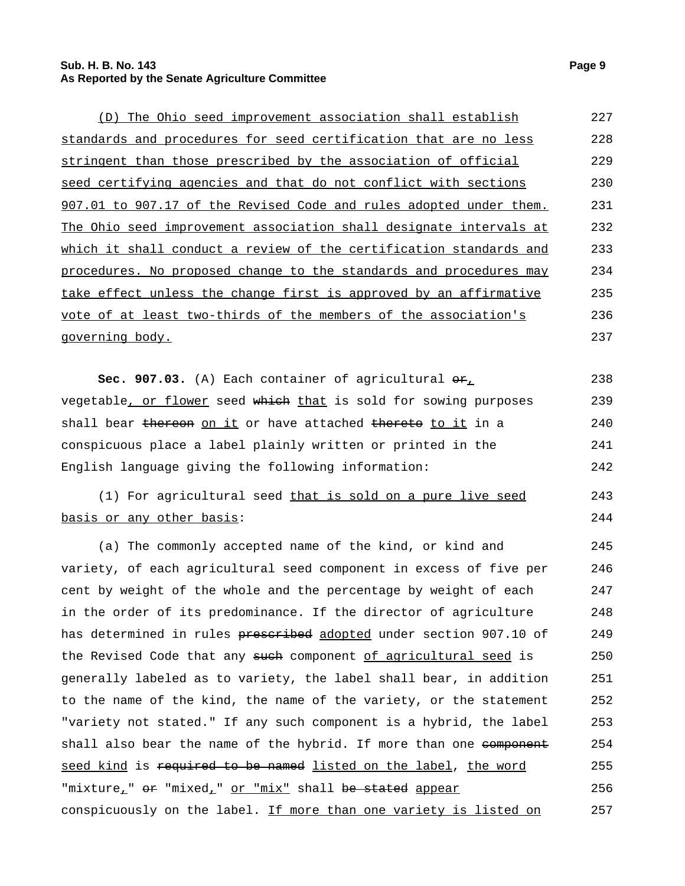#### **Sub. H. B. No. 143 Page 9 As Reported by the Senate Agriculture Committee**

| (D) The Ohio seed improvement association shall establish          | 227 |
|--------------------------------------------------------------------|-----|
| standards and procedures for seed certification that are no less   | 228 |
| stringent than those prescribed by the association of official     | 229 |
| seed certifying agencies and that do not conflict with sections    | 230 |
| 907.01 to 907.17 of the Revised Code and rules adopted under them. | 231 |
| The Ohio seed improvement association shall designate intervals at | 232 |
| which it shall conduct a review of the certification standards and | 233 |
| procedures. No proposed change to the standards and procedures may | 234 |
| take effect unless the change first is approved by an affirmative  | 235 |
| vote of at least two-thirds of the members of the association's    | 236 |
| governing body.                                                    | 237 |

**Sec. 907.03.** (A) Each container of agricultural  $\Theta F_L$ vegetable, or flower seed which that is sold for sowing purposes shall bear thereon on it or have attached thereto to it in a conspicuous place a label plainly written or printed in the English language giving the following information: 238 239 240 241 242

(1) For agricultural seed that is sold on a pure live seed basis or any other basis: 243 244

(a) The commonly accepted name of the kind, or kind and variety, of each agricultural seed component in excess of five per cent by weight of the whole and the percentage by weight of each in the order of its predominance. If the director of agriculture has determined in rules prescribed adopted under section 907.10 of the Revised Code that any such component of agricultural seed is generally labeled as to variety, the label shall bear, in addition to the name of the kind, the name of the variety, or the statement "variety not stated." If any such component is a hybrid, the label shall also bear the name of the hybrid. If more than one component seed kind is required to be named listed on the label, the word "mixture<sub>1</sub>" or "mixed<sub>1</sub>" or "mix" shall be stated appear conspicuously on the label. If more than one variety is listed on 245 246 247 248 249 250 251 252 253 254 255 256 257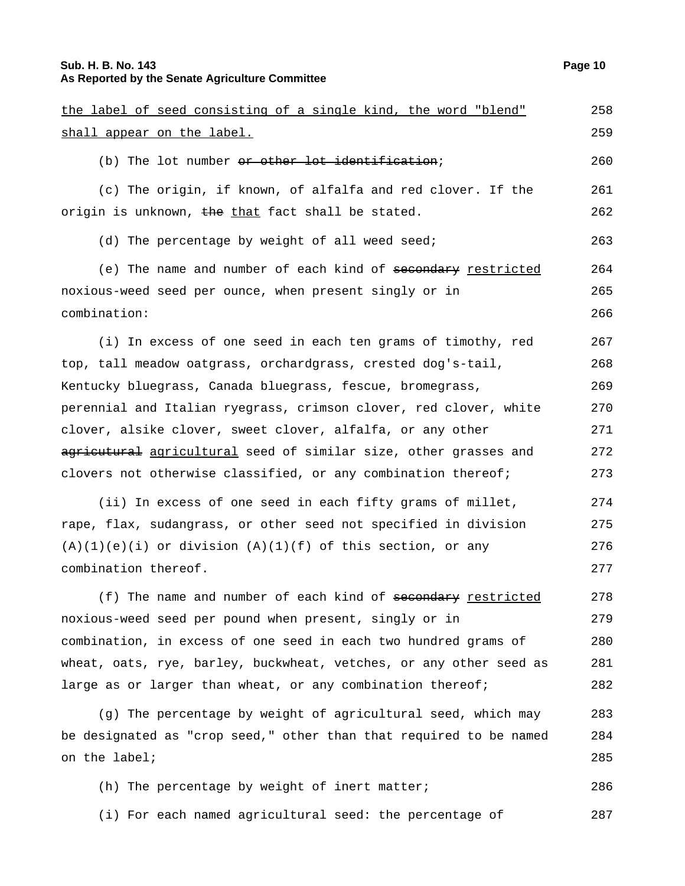## **Sub. H. B. No. 143 Page 10 As Reported by the Senate Agriculture Committee**

the label of seed consisting of a single kind, the word "blend"

| shall appear on the label.                                         | 259 |
|--------------------------------------------------------------------|-----|
| (b) The lot number or other lot identification;                    | 260 |
| (c) The origin, if known, of alfalfa and red clover. If the        | 261 |
| origin is unknown, the that fact shall be stated.                  | 262 |
| (d) The percentage by weight of all weed seed;                     | 263 |
| (e) The name and number of each kind of secondary restricted       | 264 |
| noxious-weed seed per ounce, when present singly or in             | 265 |
| combination:                                                       | 266 |
| (i) In excess of one seed in each ten grams of timothy, red        | 267 |
| top, tall meadow oatgrass, orchardgrass, crested dog's-tail,       | 268 |
| Kentucky bluegrass, Canada bluegrass, fescue, bromegrass,          | 269 |
| perennial and Italian ryegrass, crimson clover, red clover, white  | 270 |
| clover, alsike clover, sweet clover, alfalfa, or any other         | 271 |
| agricutural agricultural seed of similar size, other grasses and   | 272 |
| clovers not otherwise classified, or any combination thereof;      | 273 |
| (ii) In excess of one seed in each fifty grams of millet,          | 274 |
| rape, flax, sudangrass, or other seed not specified in division    | 275 |
| $(A)(1)(e)(i)$ or division $(A)(1)(f)$ of this section, or any     | 276 |
| combination thereof.                                               | 277 |
| (f) The name and number of each kind of secondary restricted       | 278 |
| noxious-weed seed per pound when present, singly or in             | 279 |
| combination, in excess of one seed in each two hundred grams of    | 280 |
| wheat, oats, rye, barley, buckwheat, vetches, or any other seed as | 281 |
| large as or larger than wheat, or any combination thereof;         | 282 |
| (g) The percentage by weight of agricultural seed, which may       | 283 |
| be designated as "crop seed," other than that required to be named | 284 |
| on the label;                                                      | 285 |
| (h) The percentage by weight of inert matter;                      | 286 |

(i) For each named agricultural seed: the percentage of 287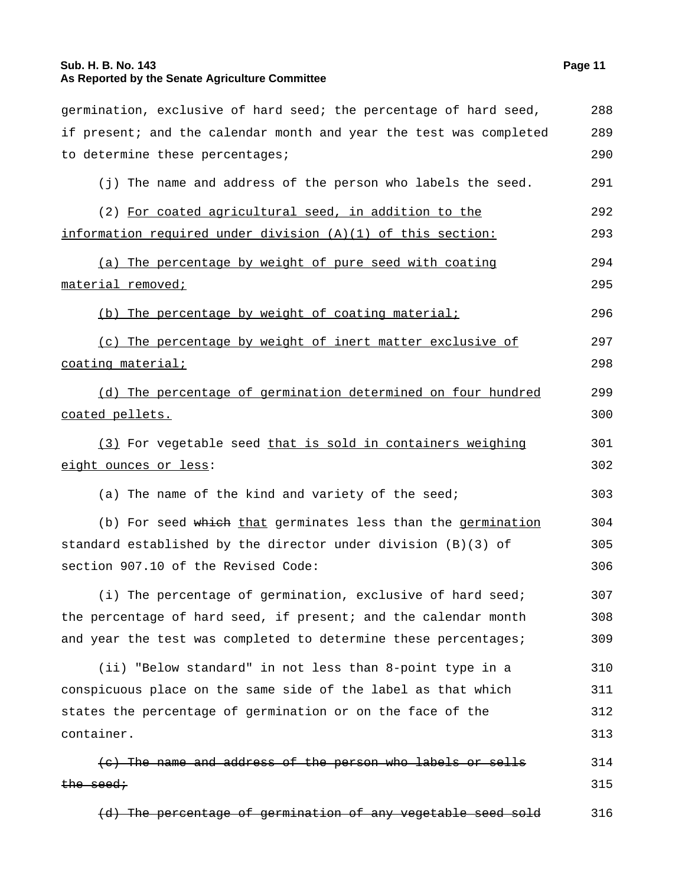## **Sub. H. B. No. 143 Page 11 As Reported by the Senate Agriculture Committee**

| germination, exclusive of hard seed; the percentage of hard seed,  | 288 |
|--------------------------------------------------------------------|-----|
| if present; and the calendar month and year the test was completed | 289 |
| to determine these percentages;                                    | 290 |
| (j) The name and address of the person who labels the seed.        | 291 |
| (2) For coated agricultural seed, in addition to the               | 292 |
| information required under division (A)(1) of this section:        | 293 |
| (a) The percentage by weight of pure seed with coating             | 294 |
| <u>material removed;</u>                                           | 295 |
| (b) The percentage by weight of coating material;                  | 296 |
| (c) The percentage by weight of inert matter exclusive of          | 297 |
| <u>coating material;</u>                                           | 298 |
| (d) The percentage of germination determined on four hundred       | 299 |
| <u>coated pellets.</u>                                             | 300 |
| (3) For vegetable seed that is sold in containers weighing         | 301 |
| <u>eight ounces or less</u> :                                      | 302 |
| (a) The name of the kind and variety of the seed;                  | 303 |
| (b) For seed which that germinates less than the germination       | 304 |
| standard established by the director under division (B)(3) of      | 305 |
| section 907.10 of the Revised Code:                                | 306 |
| (i) The percentage of germination, exclusive of hard seed;         | 307 |
| the percentage of hard seed, if present; and the calendar month    | 308 |
| and year the test was completed to determine these percentages;    | 309 |
| (ii) "Below standard" in not less than 8-point type in a           | 310 |
| conspicuous place on the same side of the label as that which      | 311 |
| states the percentage of germination or on the face of the         | 312 |
| container.                                                         | 313 |
| (c) The name and address of the person who labels or sells         | 314 |
| <del>the seed;</del>                                               | 315 |
| (d) The percentage of germination of any vegetable seed sold       | 316 |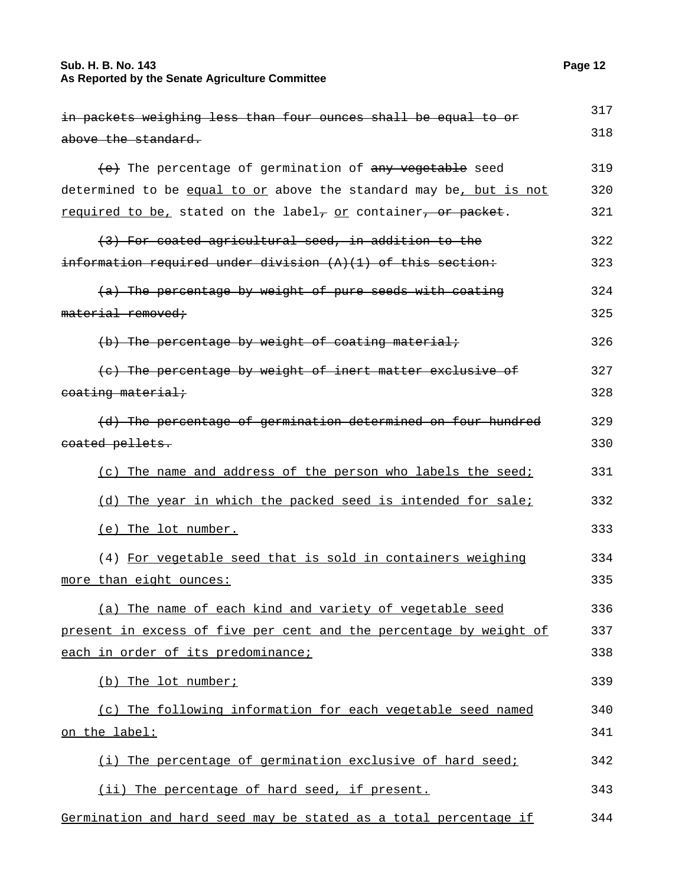## **Sub. H. B. No. 143 Page 12 As Reported by the Senate Agriculture Committee**

| in packets weighing less than four ounces shall be equal to or              | 317 |
|-----------------------------------------------------------------------------|-----|
| above the standard.                                                         | 318 |
|                                                                             |     |
| (e) The percentage of germination of any vegetable seed                     | 319 |
| determined to be equal to or above the standard may be, but is not          | 320 |
| required to be, stated on the label, or container, or packet.               | 321 |
| (3) For coated agricultural seed, in addition to the                        | 322 |
| $\frac{1}{1}$ information required under division $(A)(1)$ of this section: | 323 |
| (a) The percentage by weight of pure seeds with coating                     | 324 |
| material removed;                                                           | 325 |
| (b) The percentage by weight of coating material;                           | 326 |
| (e) The percentage by weight of inert matter exclusive of                   | 327 |
| eoating material;                                                           | 328 |
| (d) The percentage of germination determined on four hundred                | 329 |
| eoated pellets.                                                             | 330 |
| (c) The name and address of the person who labels the seed;                 | 331 |
| (d) The year in which the packed seed is intended for sale;                 | 332 |
| (e) The lot number.                                                         | 333 |
| (4) For vegetable seed that is sold in containers weighing                  | 334 |
| more than eight ounces:                                                     | 335 |
| (a) The name of each kind and variety of vegetable seed                     | 336 |
| present in excess of five per cent and the percentage by weight of          | 337 |
| each in order of its predominance;                                          | 338 |
| (b) The lot number;                                                         | 339 |
| (c) The following information for each vegetable seed named                 | 340 |
| on the label:                                                               | 341 |
| (i) The percentage of germination exclusive of hard seed;                   | 342 |
| (ii) The percentage of hard seed, if present.                               | 343 |
| Germination and hard seed may be stated as a total percentage if            | 344 |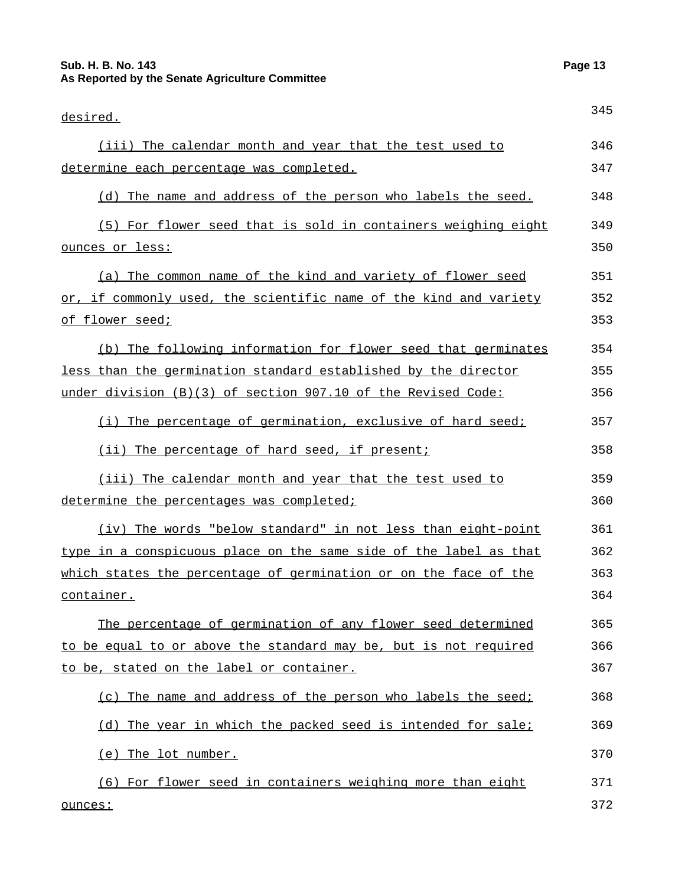## **Sub. H. B. No. 143 Page 13 As Reported by the Senate Agriculture Committee**

| desired.                                                          | 345 |
|-------------------------------------------------------------------|-----|
| (iii) The calendar month and year that the test used to           | 346 |
| determine each percentage was completed.                          | 347 |
| (d) The name and address of the person who labels the seed.       | 348 |
| (5) For flower seed that is sold in containers weighing eight     | 349 |
| ounces or less:                                                   | 350 |
| (a) The common name of the kind and variety of flower seed        | 351 |
| or, if commonly used, the scientific name of the kind and variety | 352 |
| of flower seed;                                                   | 353 |
| (b) The following information for flower seed that germinates     | 354 |
| less than the germination standard established by the director    | 355 |
| under division (B)(3) of section 907.10 of the Revised Code:      | 356 |
| (i) The percentage of germination, exclusive of hard seed;        | 357 |
| (ii) The percentage of hard seed, if present;                     | 358 |
| (iii) The calendar month and year that the test used to           | 359 |
| determine the percentages was completed;                          | 360 |
| (iv) The words "below standard" in not less than eight-point      | 361 |
| type in a conspicuous place on the same side of the label as that | 362 |
| which states the percentage of germination or on the face of the  | 363 |
| container.                                                        | 364 |
| The percentage of germination of any flower seed determined       | 365 |
| to be equal to or above the standard may be, but is not required  | 366 |
| to be, stated on the label or container.                          | 367 |
| (c) The name and address of the person who labels the seed;       | 368 |
| (d) The year in which the packed seed is intended for sale;       | 369 |
| (e) The lot number.                                               | 370 |
| (6) For flower seed in containers weighing more than eight        | 371 |
| ounces:                                                           | 372 |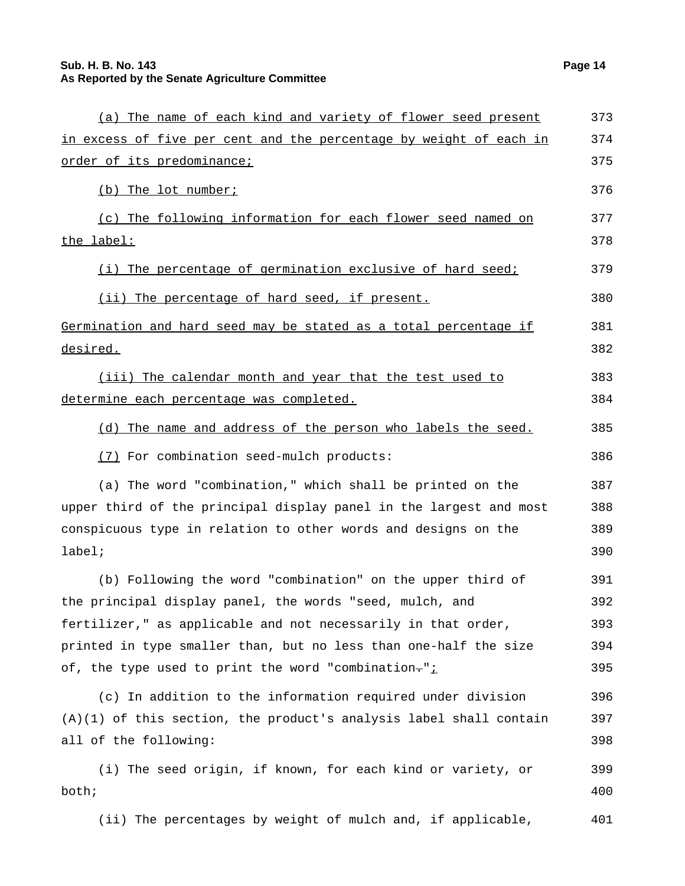| (a) The name of each kind and variety of flower seed present         | 373 |
|----------------------------------------------------------------------|-----|
| in excess of five per cent and the percentage by weight of each in   | 374 |
| <u>order of its predominance;</u>                                    | 375 |
| (b) The lot number;                                                  | 376 |
| (c) The following information for each flower seed named on          | 377 |
| the label:                                                           | 378 |
| (i) The percentage of germination exclusive of hard seed;            | 379 |
| (ii) The percentage of hard seed, if present.                        | 380 |
| Germination and hard seed may be stated as a total percentage if     | 381 |
| desired.                                                             | 382 |
| (iii) The calendar month and year that the test used to              | 383 |
| determine each percentage was completed.                             | 384 |
| (d) The name and address of the person who labels the seed.          | 385 |
| (7) For combination seed-mulch products:                             | 386 |
| (a) The word "combination," which shall be printed on the            | 387 |
| upper third of the principal display panel in the largest and most   | 388 |
| conspicuous type in relation to other words and designs on the       | 389 |
| $label:right:right}$                                                 | 390 |
| (b) Following the word "combination" on the upper third of           | 391 |
| the principal display panel, the words "seed, mulch, and             | 392 |
| fertilizer," as applicable and not necessarily in that order,        | 393 |
| printed in type smaller than, but no less than one-half the size     | 394 |
| of, the type used to print the word "combination-"i                  | 395 |
| (c) In addition to the information required under division           | 396 |
| $(A)(1)$ of this section, the product's analysis label shall contain | 397 |
| all of the following:                                                | 398 |
| (i) The seed origin, if known, for each kind or variety, or          | 399 |
| both;                                                                | 400 |
| (ii) The percentages by weight of mulch and, if applicable,          | 401 |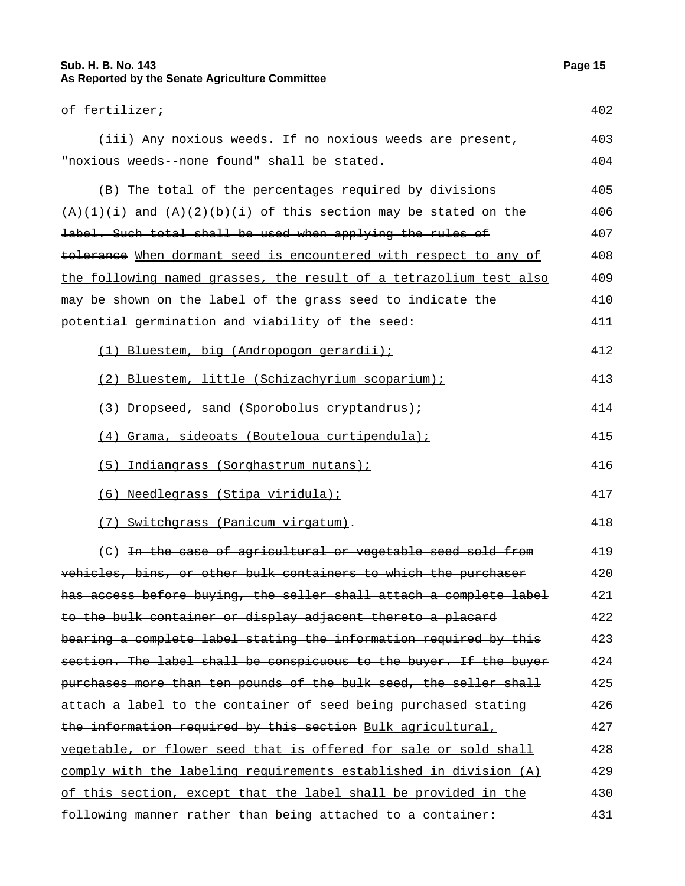## **Sub. H. B. No. 143 Page 15 As Reported by the Senate Agriculture Committee**

| of fertilizer;                                                      | 402 |
|---------------------------------------------------------------------|-----|
| (iii) Any noxious weeds. If no noxious weeds are present,           | 403 |
| "noxious weeds--none found" shall be stated.                        | 404 |
| (B) The total of the percentages required by divisions              | 405 |
| $(A)(1)(i)$ and $(A)(2)(b)(i)$ of this section may be stated on the | 406 |
| label. Such total shall be used when applying the rules of          | 407 |
| tolerance When dormant seed is encountered with respect to any of   | 408 |
| the following named grasses, the result of a tetrazolium test also  | 409 |
| may be shown on the label of the grass seed to indicate the         | 410 |
| potential germination and viability of the seed:                    | 411 |
| (1) Bluestem, big (Andropogon gerardii);                            | 412 |
| (2) Bluestem, little (Schizachyrium scoparium);                     | 413 |
| (3) Dropseed, sand (Sporobolus cryptandrus);                        | 414 |
| (4) Grama, sideoats (Bouteloua curtipendula);                       | 415 |
| (5) Indiangrass (Sorghastrum nutans);                               | 416 |
| (6) Needlegrass (Stipa viridula);                                   | 417 |
| (7) Switchgrass (Panicum virgatum).                                 | 418 |
| (C) In the case of agricultural or vegetable seed sold from         | 419 |
| vehicles, bins, or other bulk containers to which the purchaser     | 420 |
| has access before buying, the seller shall attach a complete label  | 421 |
| to the bulk container or display adjacent thereto a placard         | 422 |
| bearing a complete label stating the information required by this   | 423 |
| section. The label shall be conspicuous to the buyer. If the buyer  | 424 |
| purchases more than ten pounds of the bulk seed, the seller shall   | 425 |
| attach a label to the container of seed being purchased stating     | 426 |
| the information required by this section Bulk agricultural,         | 427 |
| vegetable, or flower seed that is offered for sale or sold shall    | 428 |
| comply with the labeling requirements established in division (A)   | 429 |
| of this section, except that the label shall be provided in the     | 430 |
| following manner rather than being attached to a container:         | 431 |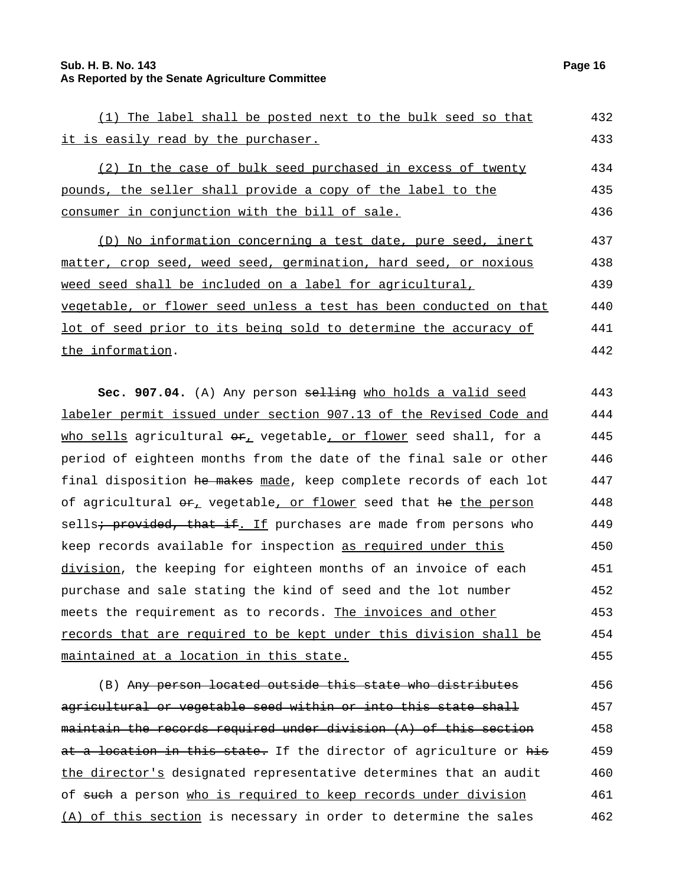#### **Sub. H. B. No. 143 Page 16 As Reported by the Senate Agriculture Committee**

the information.

| (1) The label shall be posted next to the bulk seed so that        | 432 |
|--------------------------------------------------------------------|-----|
| it is easily read by the purchaser.                                | 433 |
| (2) In the case of bulk seed purchased in excess of twenty         | 434 |
| pounds, the seller shall provide a copy of the label to the        | 435 |
| consumer in conjunction with the bill of sale.                     | 436 |
| (D) No information concerning a test date, pure seed, inert        | 437 |
| matter, crop seed, weed seed, germination, hard seed, or noxious   | 438 |
| weed seed shall be included on a label for agricultural,           | 439 |
| vegetable, or flower seed unless a test has been conducted on that | 440 |
| lot of seed prior to its being sold to determine the accuracy of   | 441 |
|                                                                    |     |

**Sec. 907.04.** (A) Any person selling who holds a valid seed labeler permit issued under section 907.13 of the Revised Code and who sells agricultural  $\Theta$ <sub>r</sub> vegetable, or flower seed shall, for a period of eighteen months from the date of the final sale or other final disposition he makes made, keep complete records of each lot of agricultural  $e_{L}$  vegetable, or flower seed that he the person sells<del>; provided, that if</del>. If purchases are made from persons who keep records available for inspection as required under this division, the keeping for eighteen months of an invoice of each purchase and sale stating the kind of seed and the lot number meets the requirement as to records. The invoices and other records that are required to be kept under this division shall be maintained at a location in this state. 443 444 445 446 447 448 449 450 451 452 453 454 455

(B) Any person located outside this state who distributes agricultural or vegetable seed within or into this state shall maintain the records required under division (A) of this section at a location in this state. If the director of agriculture or his the director's designated representative determines that an audit of such a person who is required to keep records under division (A) of this section is necessary in order to determine the sales 456 457 458 459 460 461 462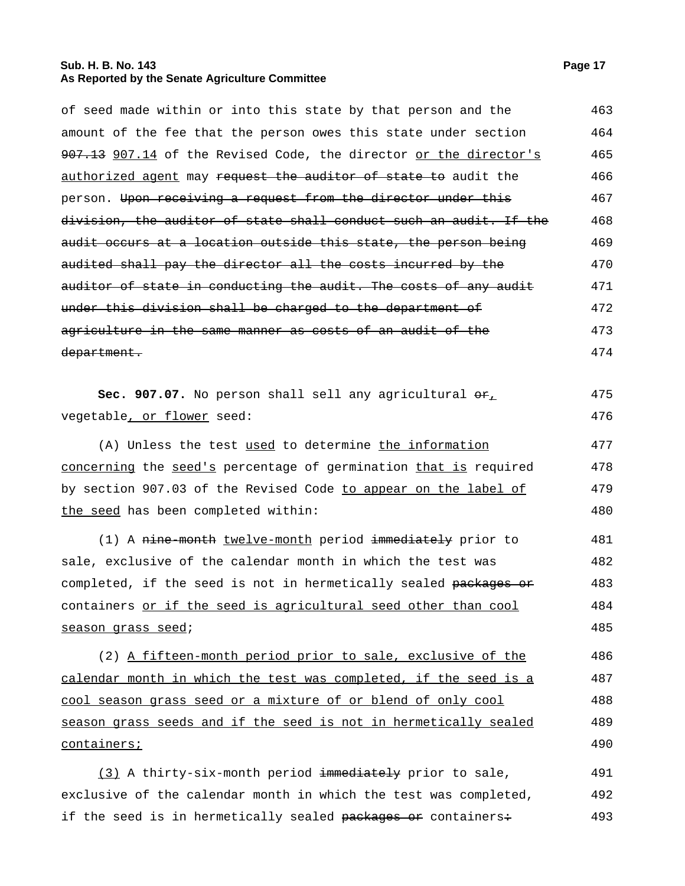## **Sub. H. B. No. 143 Page 17 As Reported by the Senate Agriculture Committee**

|                                                                     | 463 |
|---------------------------------------------------------------------|-----|
| of seed made within or into this state by that person and the       |     |
| amount of the fee that the person owes this state under section     | 464 |
| 907.13 907.14 of the Revised Code, the director or the director's   | 465 |
| authorized agent may request the auditor of state to audit the      | 466 |
| person. Upon receiving a request from the director under this       | 467 |
| division, the auditor of state shall conduct such an audit. If the  | 468 |
| audit occurs at a location outside this state, the person being     | 469 |
| audited shall pay the director all the costs incurred by the        | 470 |
| auditor of state in conducting the audit. The costs of any audit    | 471 |
| under this division shall be charged to the department of           | 472 |
| agriculture in the same manner as costs of an audit of the          | 473 |
| department.                                                         | 474 |
|                                                                     |     |
| Sec. 907.07. No person shall sell any agricultural $\Theta_{L}^{2}$ | 475 |
| vegetable, or flower seed:                                          | 476 |
| (A) Unless the test used to determine the information               | 477 |
| concerning the seed's percentage of germination that is required    | 478 |
| by section 907.03 of the Revised Code to appear on the label of     | 479 |
| the seed has been completed within:                                 | 480 |
| (1) A nine-month twelve-month period immediately prior to           | 481 |
| sale, exclusive of the calendar month in which the test was         | 482 |
| completed, if the seed is not in hermetically sealed packages or    | 483 |
| containers or if the seed is agricultural seed other than cool      | 484 |
| season grass seed;                                                  | 485 |
| (2) A fifteen-month period prior to sale, exclusive of the          | 486 |
| calendar month in which the test was completed, if the seed is a    | 487 |
| cool season grass seed or a mixture of or blend of only cool        | 488 |
| season grass seeds and if the seed is not in hermetically sealed    | 489 |
| containers;                                                         | 490 |
|                                                                     |     |
| (3) A thirty-six-month period immediately prior to sale,            | 491 |
| exclusive of the calendar month in which the test was completed,    | 492 |

if the seed is in hermetically sealed packages or containers: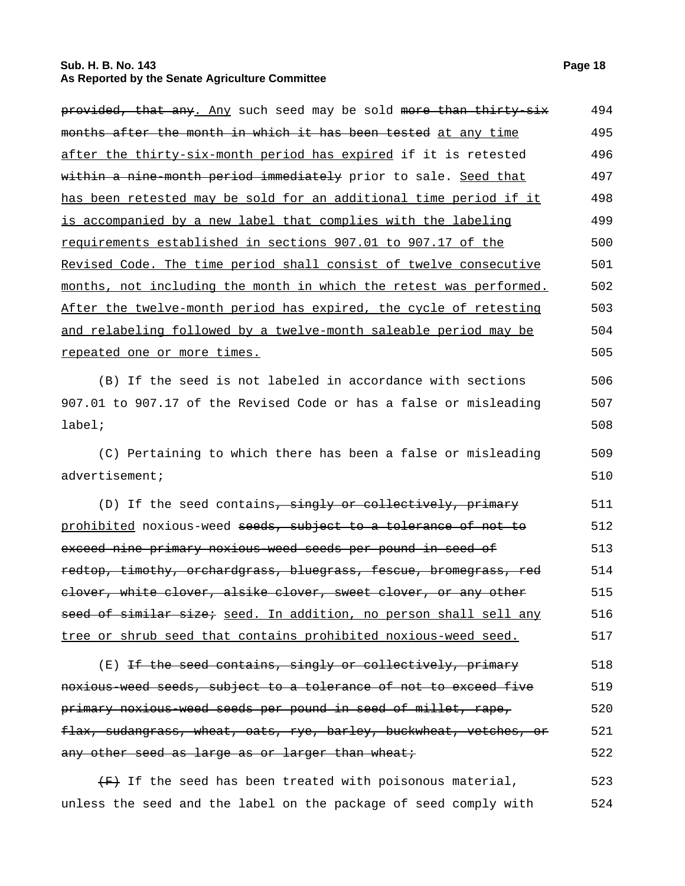## **Sub. H. B. No. 143 Page 18 As Reported by the Senate Agriculture Committee**

| provided, that any. Any such seed may be sold more than thirty-six   | 494 |
|----------------------------------------------------------------------|-----|
| months after the month in which it has been tested at any time       | 495 |
| after the thirty-six-month period has expired if it is retested      | 496 |
| within a nine-month period immediately prior to sale. Seed that      | 497 |
| has been retested may be sold for an additional time period if it    | 498 |
| is accompanied by a new label that complies with the labeling        | 499 |
| requirements established in sections 907.01 to 907.17 of the         | 500 |
| Revised Code. The time period shall consist of twelve consecutive    | 501 |
| months, not including the month in which the retest was performed.   | 502 |
| After the twelve-month period has expired, the cycle of retesting    | 503 |
| and relabeling followed by a twelve-month saleable period may be     | 504 |
| repeated one or more times.                                          | 505 |
| (B) If the seed is not labeled in accordance with sections           | 506 |
| 907.01 to 907.17 of the Revised Code or has a false or misleading    | 507 |
| $label:right}$                                                       | 508 |
| (C) Pertaining to which there has been a false or misleading         | 509 |
| advertisement;                                                       | 510 |
| (D) If the seed contains, singly or collectively, primary            | 511 |
| prohibited noxious-weed seeds, subject to a tolerance of not to      | 512 |
| exceed nine primary noxious weed seeds per pound in seed of          | 513 |
| redtop, timothy, orchardgrass, bluegrass, fescue, bromegrass, red    | 514 |
| elover, white clover, alsike clover, sweet clover, or any other      | 515 |
| seed of similar size; seed. In addition, no person shall sell any    | 516 |
| tree or shrub seed that contains prohibited noxious-weed seed.       | 517 |
| (E) If the seed contains, singly or collectively, primary            | 518 |
| noxious weed seeds, subject to a tolerance of not to exceed five     | 519 |
| primary noxious-weed seeds per pound in seed of millet, rape,        | 520 |
| flax, sudangrass, wheat, oats, rye, barley, buckwheat, vetches, or   | 521 |
| any other seed as large as or larger than wheat;                     | 522 |
| $\overline{f}$ If the seed has been treated with poisonous material, | 523 |

unless the seed and the label on the package of seed comply with 524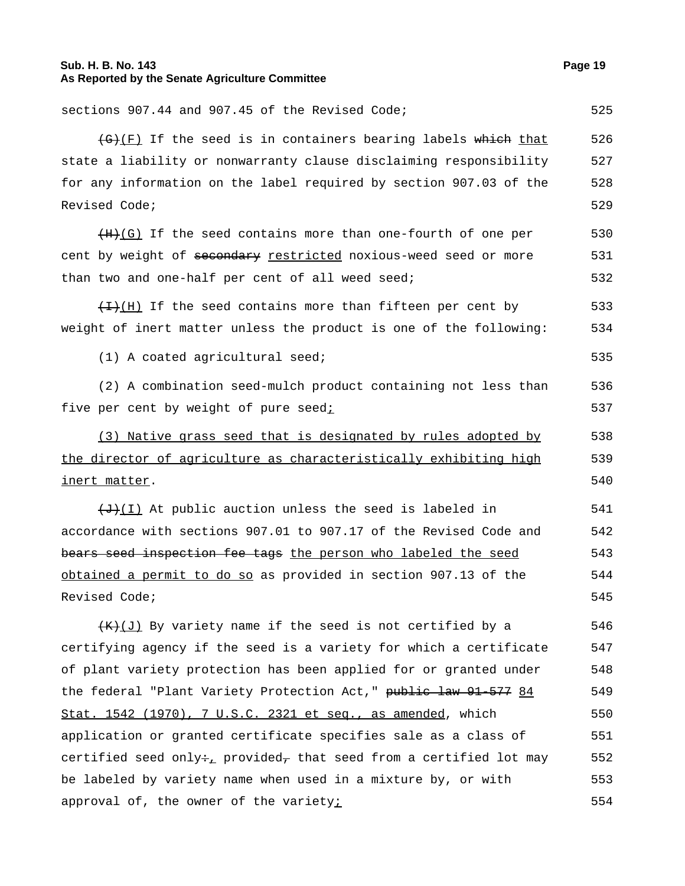#### **Sub. H. B. No. 143 Page 19 As Reported by the Senate Agriculture Committee**

sections 907.44 and 907.45 of the Revised Code; 525  $(\theta + \theta)$  If the seed is in containers bearing labels which that state a liability or nonwarranty clause disclaiming responsibility for any information on the label required by section 907.03 of the Revised Code; 526 527 528 529  $(H)$ (G) If the seed contains more than one-fourth of one per cent by weight of secondary restricted noxious-weed seed or more than two and one-half per cent of all weed seed; 530 531 532  $\overline{H}(H)$  If the seed contains more than fifteen per cent by weight of inert matter unless the product is one of the following: 533 534  $(1)$  A coated agricultural seed;  $535$ (2) A combination seed-mulch product containing not less than five per cent by weight of pure seedi 536 537 (3) Native grass seed that is designated by rules adopted by the director of agriculture as characteristically exhibiting high inert matter. 538 539 540  $\overline{+J}(I)$  At public auction unless the seed is labeled in accordance with sections 907.01 to 907.17 of the Revised Code and bears seed inspection fee tags the person who labeled the seed obtained a permit to do so as provided in section 907.13 of the Revised Code; 541 542 543 544 545  $(K+1)$  By variety name if the seed is not certified by a certifying agency if the seed is a variety for which a certificate of plant variety protection has been applied for or granted under the federal "Plant Variety Protection Act," public law 91-577 84 Stat. 1542 (1970), 7 U.S.C. 2321 et seq., as amended, which application or granted certificate specifies sale as a class of certified seed only÷<sub>+</sub> provided, that seed from a certified lot may be labeled by variety name when used in a mixture by, or with approval of, the owner of the varietyi 546 547 548 549 550 551 552 553 554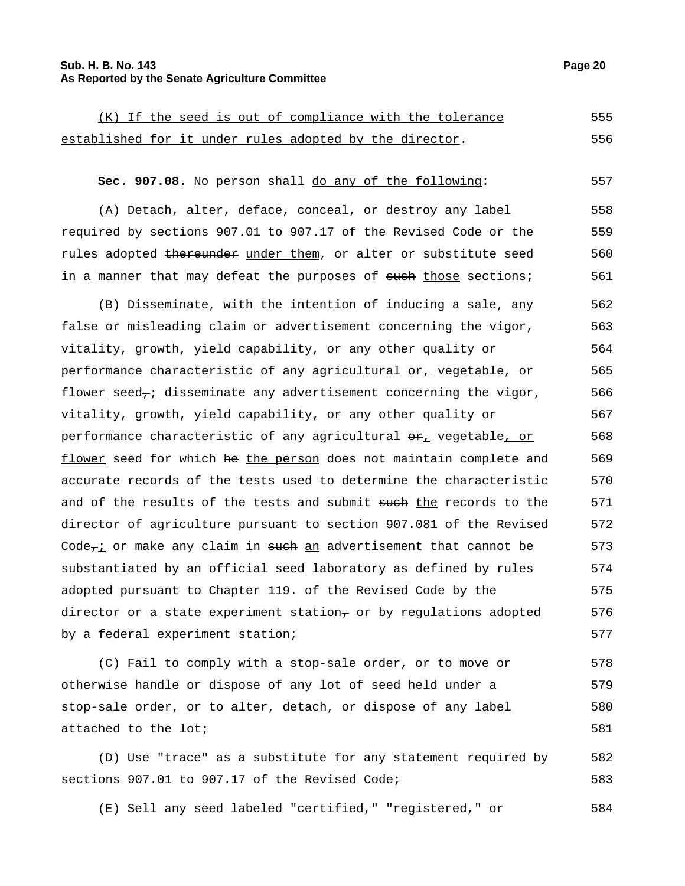#### **Sub. H. B. No. 143 Page 20 As Reported by the Senate Agriculture Committee**

(K) If the seed is out of compliance with the tolerance established for it under rules adopted by the director. 555 556

## **Sec. 907.08.** No person shall <u>do any of the following</u>: 557

(A) Detach, alter, deface, conceal, or destroy any label required by sections 907.01 to 907.17 of the Revised Code or the rules adopted thereunder under them, or alter or substitute seed in a manner that may defeat the purposes of such those sections; 558 559 560 561

(B) Disseminate, with the intention of inducing a sale, any false or misleading claim or advertisement concerning the vigor, vitality, growth, yield capability, or any other quality or performance characteristic of any agricultural  $\theta_{\text{L}}$  vegetable, or flower seed $\tau$ i disseminate any advertisement concerning the vigor, vitality, growth, yield capability, or any other quality or performance characteristic of any agricultural  $\Theta_{L}$  vegetable, or flower seed for which he the person does not maintain complete and accurate records of the tests used to determine the characteristic and of the results of the tests and submit such the records to the director of agriculture pursuant to section 907.081 of the Revised Code $\tau$ i or make any claim in such an advertisement that cannot be substantiated by an official seed laboratory as defined by rules adopted pursuant to Chapter 119. of the Revised Code by the director or a state experiment station $_7$  or by regulations adopted by a federal experiment station; 562 563 564 565 566 567 568 569 570 571 572 573 574 575 576 577

(C) Fail to comply with a stop-sale order, or to move or otherwise handle or dispose of any lot of seed held under a stop-sale order, or to alter, detach, or dispose of any label attached to the lot; 578 579 580 581

(D) Use "trace" as a substitute for any statement required by sections 907.01 to 907.17 of the Revised Code; 582 583

(E) Sell any seed labeled "certified," "registered," or 584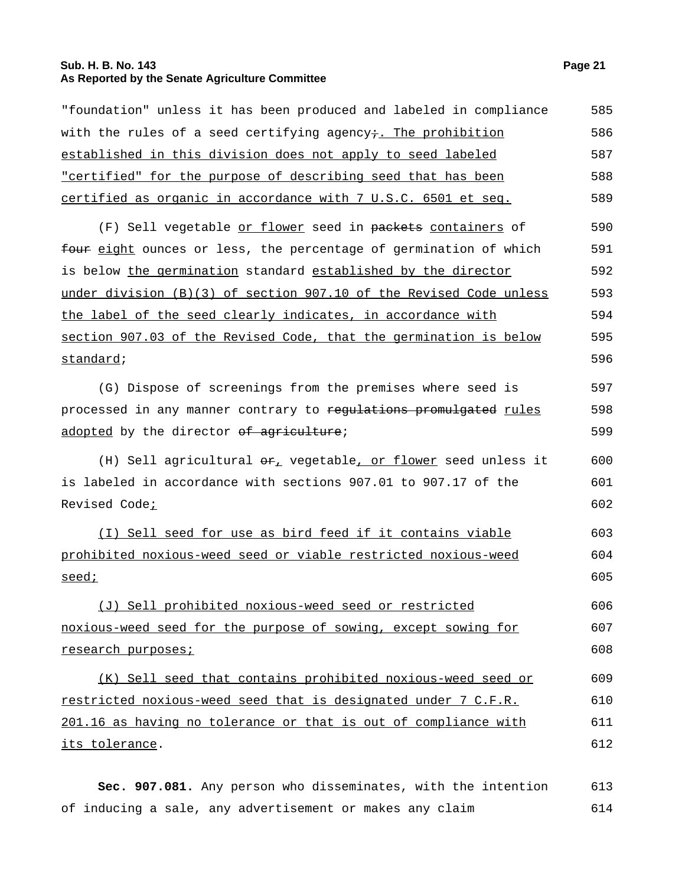## **Sub. H. B. No. 143 Page 21 As Reported by the Senate Agriculture Committee**

| "foundation" unless it has been produced and labeled in compliance                         | 585 |
|--------------------------------------------------------------------------------------------|-----|
| with the rules of a seed certifying agency+. The prohibition                               | 586 |
| established in this division does not apply to seed labeled                                | 587 |
| <u>"certified" for the purpose of describing seed that has been</u>                        | 588 |
| <u>certified as organic in accordance with 7 U.S.C. 6501 et seq.</u>                       | 589 |
| (F) Sell vegetable <u>or flower</u> seed in packets containers of                          | 590 |
| four eight ounces or less, the percentage of germination of which                          | 591 |
| is below the germination standard established by the director                              | 592 |
| under division (B)(3) of section 907.10 of the Revised Code unless                         | 593 |
| the label of the seed clearly indicates, in accordance with                                | 594 |
| section 907.03 of the Revised Code, that the germination is below                          | 595 |
| standard;                                                                                  | 596 |
| (G) Dispose of screenings from the premises where seed is                                  | 597 |
| processed in any manner contrary to regulations promulgated rules                          | 598 |
| adopted by the director of agriculture;                                                    | 599 |
| (H) Sell agricultural $\Theta_{\mathcal{F}_L}$ vegetable <u>, or flower</u> seed unless it | 600 |
| is labeled in accordance with sections 907.01 to 907.17 of the                             | 601 |
| Revised Code <sub>i</sub>                                                                  | 602 |
| (I) Sell seed for use as bird feed if it contains viable                                   | 603 |
| prohibited noxious-weed seed or viable restricted noxious-weed                             | 604 |
| <u>seed;</u>                                                                               | 605 |
| (J) Sell prohibited noxious-weed seed or restricted                                        | 606 |
| noxious-weed seed for the purpose of sowing, except sowing for                             | 607 |
| <u>research purposes;</u>                                                                  | 608 |
| (K) Sell seed that contains prohibited noxious-weed seed or                                | 609 |
| restricted noxious-weed seed that is designated under 7 C.F.R.                             | 610 |
| 201.16 as having no tolerance or that is out of compliance with                            | 611 |
| its tolerance.                                                                             | 612 |
|                                                                                            |     |

**Sec. 907.081.** Any person who disseminates, with the intention of inducing a sale, any advertisement or makes any claim 613 614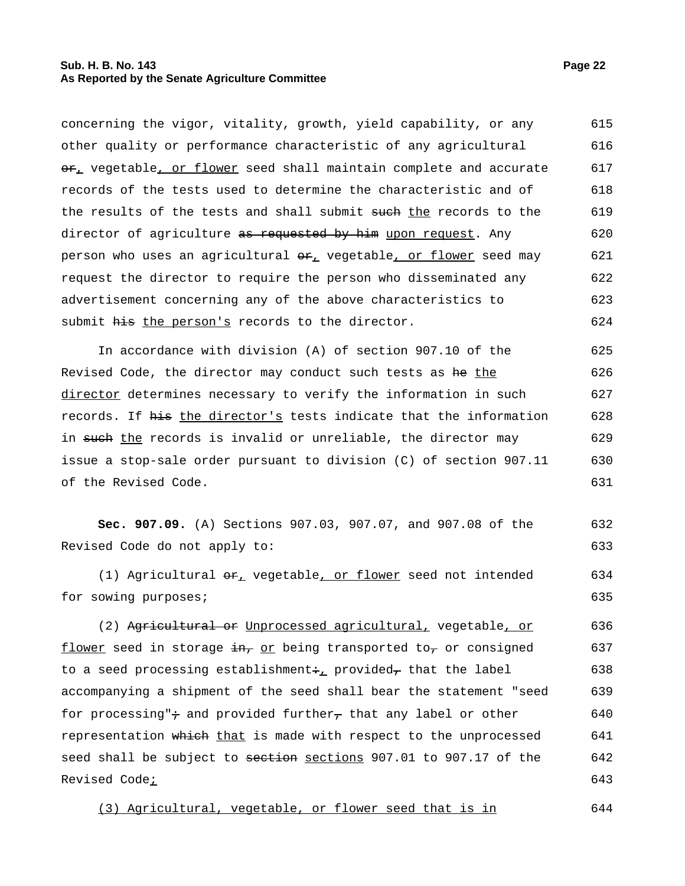#### **Sub. H. B. No. 143 Page 22 As Reported by the Senate Agriculture Committee**

concerning the vigor, vitality, growth, yield capability, or any other quality or performance characteristic of any agricultural  $\theta$ , vegetable, or flower seed shall maintain complete and accurate records of the tests used to determine the characteristic and of the results of the tests and shall submit such the records to the director of agriculture as requested by him upon request. Any person who uses an agricultural  $er_+$  vegetable, or flower seed may request the director to require the person who disseminated any advertisement concerning any of the above characteristics to submit his the person's records to the director. 615 616 617 618 619 620 621 622 623 624

In accordance with division (A) of section 907.10 of the Revised Code, the director may conduct such tests as he the director determines necessary to verify the information in such records. If his the director's tests indicate that the information in such the records is invalid or unreliable, the director may issue a stop-sale order pursuant to division (C) of section 907.11 of the Revised Code. 625 626 627 628 629 630 631

**Sec. 907.09.** (A) Sections 907.03, 907.07, and 907.08 of the Revised Code do not apply to: 632 633

(1) Agricultural  $er_{\perp}$  vegetable, or flower seed not intended for sowing purposes; 634 635

(2) Agricultural or Unprocessed agricultural, vegetable, or flower seed in storage  $\frac{1}{2}$  in the princ transported to, or consigned to a seed processing establishment: provided, that the label accompanying a shipment of the seed shall bear the statement "seed for processing" $\div$  and provided further<sub> $\tau$ </sub> that any label or other representation which that is made with respect to the unprocessed seed shall be subject to section sections 907.01 to 907.17 of the Revised Code<sub>i</sub> 636 637 638 639 640 641 642 643

(3) Agricultural, vegetable, or flower seed that is in 644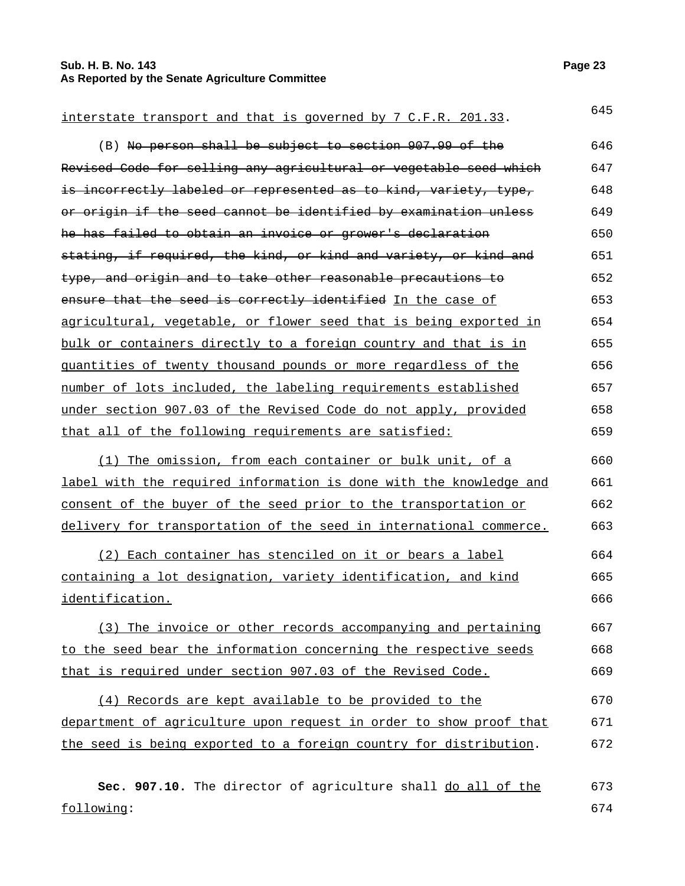## **Sub. H. B. No. 143 Page 23 As Reported by the Senate Agriculture Committee**

# interstate transport and that is governed by  $7$  C.F.R. 201.33.  $645$ (B) No person shall be subject to section 907.99 of the Revised Code for selling any agricultural or vegetable seed which

is incorrectly labeled or represented as to kind, variety, type, or origin if the seed cannot be identified by examination unless he has failed to obtain an invoice or grower's declaration stating, if required, the kind, or kind and variety, or kind and type, and origin and to take other reasonable precautions to ensure that the seed is correctly identified In the case of agricultural, vegetable, or flower seed that is being exported in bulk or containers directly to a foreign country and that is in quantities of twenty thousand pounds or more regardless of the number of lots included, the labeling requirements established under section 907.03 of the Revised Code do not apply, provided that all of the following requirements are satisfied: 648 649 650 651 652 653 654 655 656 657 658 659

(1) The omission, from each container or bulk unit, of a label with the required information is done with the knowledge and consent of the buyer of the seed prior to the transportation or delivery for transportation of the seed in international commerce. 660 661 662 663

(2) Each container has stenciled on it or bears a label containing a lot designation, variety identification, and kind identification. 664 665 666

(3) The invoice or other records accompanying and pertaining to the seed bear the information concerning the respective seeds that is required under section 907.03 of the Revised Code. 667 668 669

(4) Records are kept available to be provided to the department of agriculture upon request in order to show proof that the seed is being exported to a foreign country for distribution. 670 671 672

Sec. 907.10. The director of agriculture shall do all of the following: 673 674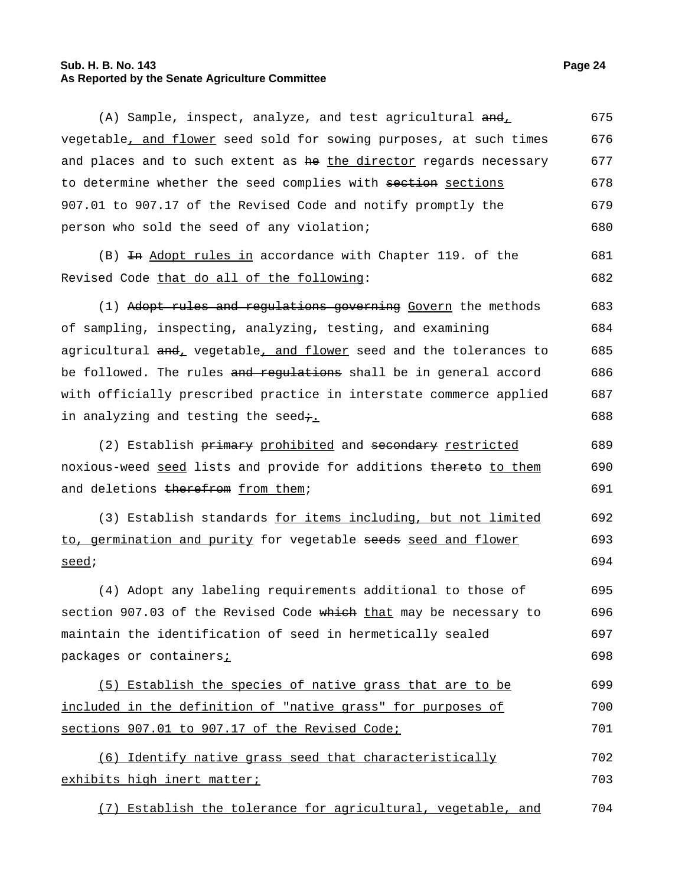## **Sub. H. B. No. 143 Page 24 As Reported by the Senate Agriculture Committee**

| (A) Sample, inspect, analyze, and test agricultural $\frac{and}{d}$  | 675 |
|----------------------------------------------------------------------|-----|
| vegetable, and flower seed sold for sowing purposes, at such times   | 676 |
| and places and to such extent as he the director regards necessary   | 677 |
| to determine whether the seed complies with section sections         | 678 |
| 907.01 to 907.17 of the Revised Code and notify promptly the         | 679 |
| person who sold the seed of any violation;                           | 680 |
| (B) <del>In</del> Adopt rules in accordance with Chapter 119. of the | 681 |
| Revised Code that do all of the following:                           | 682 |
| (1) Adopt rules and regulations governing Govern the methods         | 683 |
| of sampling, inspecting, analyzing, testing, and examining           | 684 |
| agricultural and, vegetable, and flower seed and the tolerances to   | 685 |
| be followed. The rules and regulations shall be in general accord    | 686 |
| with officially prescribed practice in interstate commerce applied   | 687 |
| in analyzing and testing the seed÷.                                  | 688 |
| (2) Establish primary prohibited and secondary restricted            | 689 |
| noxious-weed seed lists and provide for additions thereto to them    | 690 |
| and deletions therefrom from them;                                   | 691 |
| (3) Establish standards for items including, but not limited         | 692 |
| to, germination and purity for vegetable seeds seed and flower       | 693 |
| seed;                                                                | 694 |
| (4) Adopt any labeling requirements additional to those of           | 695 |
| section 907.03 of the Revised Code which that may be necessary to    | 696 |
| maintain the identification of seed in hermetically sealed           | 697 |
| packages or containers;                                              | 698 |
| (5) Establish the species of native grass that are to be             | 699 |
| included in the definition of "native grass" for purposes of         | 700 |
| sections 907.01 to 907.17 of the Revised Code;                       | 701 |
| Identify native grass seed that characteristically<br>(6)            | 702 |
| exhibits high inert matter;                                          | 703 |
| (7) Establish the tolerance for agricultural, vegetable, and         | 704 |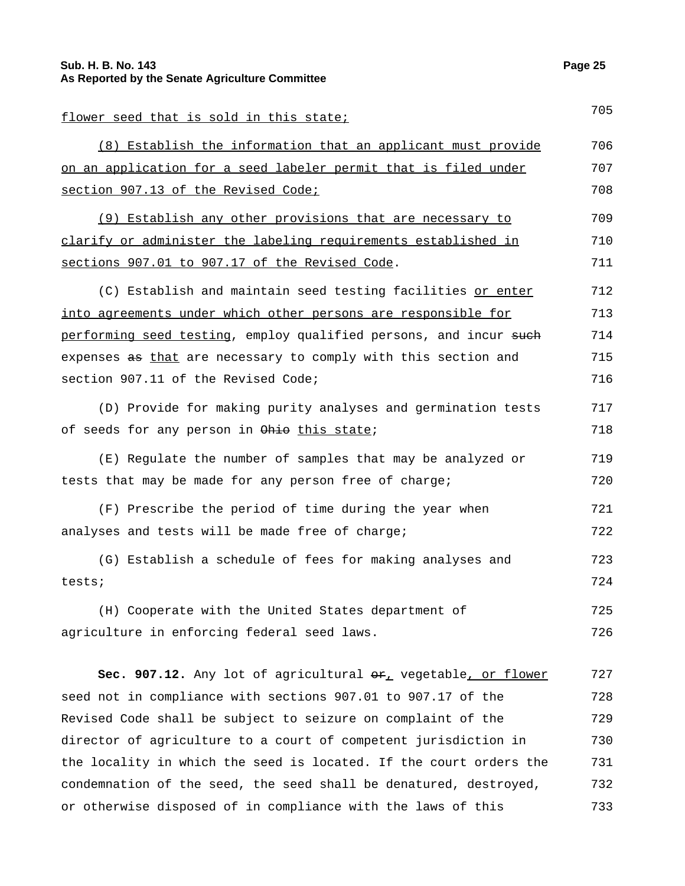| flower seed that is sold in this state;                                | 705 |
|------------------------------------------------------------------------|-----|
| (8) Establish the information that an applicant must provide           | 706 |
| on an application for a seed labeler permit that is filed under        | 707 |
| section 907.13 of the Revised Code;                                    | 708 |
| (9) Establish any other provisions that are necessary to               | 709 |
| clarify or administer the labeling requirements established in         | 710 |
| sections 907.01 to 907.17 of the Revised Code.                         | 711 |
| (C) Establish and maintain seed testing facilities or enter            | 712 |
| into agreements under which other persons are responsible for          | 713 |
| performing seed testing, employ qualified persons, and incur such      | 714 |
| expenses as that are necessary to comply with this section and         | 715 |
| section 907.11 of the Revised Code;                                    | 716 |
| (D) Provide for making purity analyses and germination tests           | 717 |
| of seeds for any person in Ohio this state;                            | 718 |
| (E) Regulate the number of samples that may be analyzed or             | 719 |
| tests that may be made for any person free of charge;                  | 720 |
| (F) Prescribe the period of time during the year when                  | 721 |
| analyses and tests will be made free of charge;                        | 722 |
| (G) Establish a schedule of fees for making analyses and               | 723 |
| tests;                                                                 | 724 |
| (H) Cooperate with the United States department of                     | 725 |
| agriculture in enforcing federal seed laws.                            | 726 |
|                                                                        |     |
| Sec. 907.12. Any lot of agricultural $er_{\perp}$ vegetable, or flower | 727 |
| seed not in compliance with sections 907.01 to 907.17 of the           | 728 |

Revised Code shall be subject to seizure on complaint of the director of agriculture to a court of competent jurisdiction in the locality in which the seed is located. If the court orders the condemnation of the seed, the seed shall be denatured, destroyed, or otherwise disposed of in compliance with the laws of this 729 730 731 732 733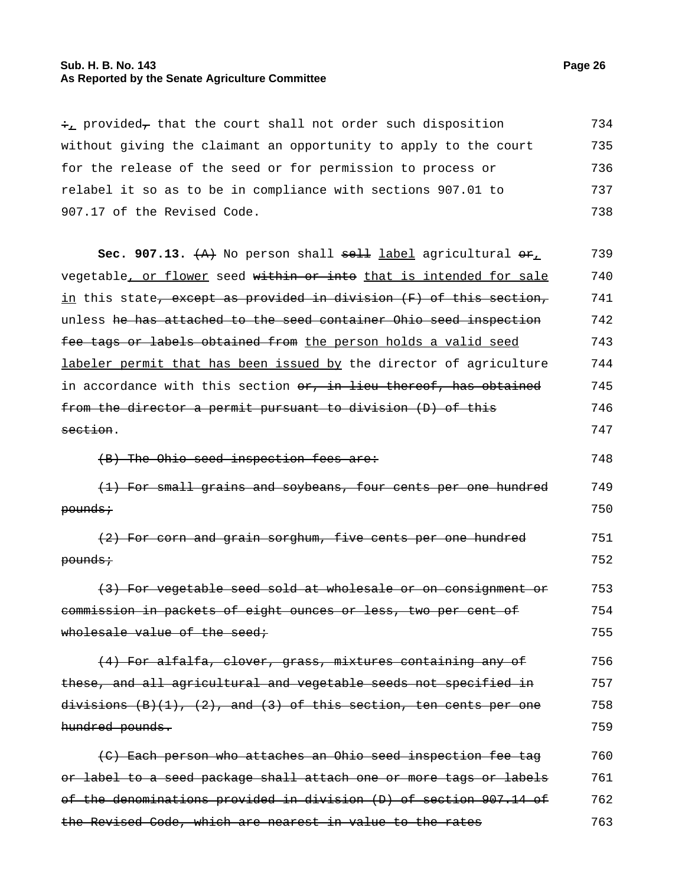## **Sub. H. B. No. 143 Page 26 As Reported by the Senate Agriculture Committee**

 $\div_L$  provided<sub>7</sub> that the court shall not order such disposition without giving the claimant an opportunity to apply to the court for the release of the seed or for permission to process or relabel it so as to be in compliance with sections 907.01 to 907.17 of the Revised Code. 734 735 736 737 738

**Sec. 907.13.** (A) No person shall sell label agricultural or, vegetable, or flower seed within or into that is intended for sale in this state, except as provided in division (F) of this section, unless he has attached to the seed container Ohio seed inspection fee tags or labels obtained from the person holds a valid seed labeler permit that has been issued by the director of agriculture in accordance with this section or, in lieu thereof, has obtained from the director a permit pursuant to division (D) of this section. 739 740 741 742 743 744 745 746 747

(B) The Ohio seed inspection fees are: 748

(1) For small grains and soybeans, four cents per one hundred pounds; 749 750

(2) For corn and grain sorghum, five cents per one hundred pounds; 751 752

(3) For vegetable seed sold at wholesale or on consignment or commission in packets of eight ounces or less, two per cent of wholesale value of the seed; 753 754 755

(4) For alfalfa, clover, grass, mixtures containing any of these, and all agricultural and vegetable seeds not specified in divisions  $(B)(1)$ ,  $(2)$ , and  $(3)$  of this section, ten cents per one hundred pounds. 756 757 758 759

(C) Each person who attaches an Ohio seed inspection fee tag or label to a seed package shall attach one or more tags or labels of the denominations provided in division (D) of section 907.14 of the Revised Code, which are nearest in value to the rates 760 761 762 763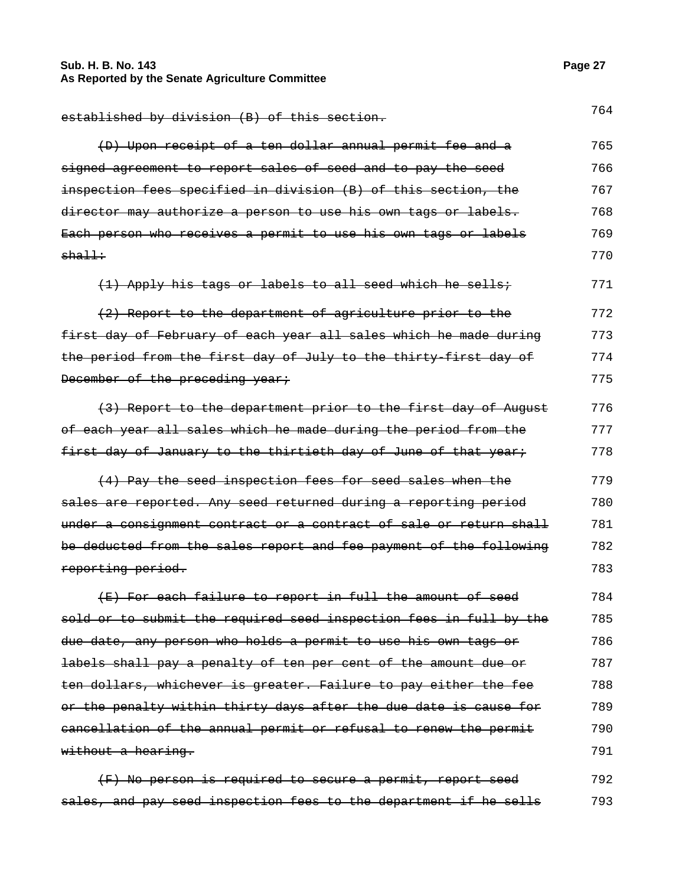## **Sub. H. B. No. 143 Page 27 As Reported by the Senate Agriculture Committee**

| established by division (B) of this section.                       | 764 |
|--------------------------------------------------------------------|-----|
| (D) Upon receipt of a ten dollar annual permit fee and a           | 765 |
| signed agreement to report sales of seed and to pay the seed       | 766 |
| inspection fees specified in division (B) of this section, the     | 767 |
| director may authorize a person to use his own tags or labels.     | 768 |
| Each person who receives a permit to use his own tags or labels    | 769 |
| $sha11$ :                                                          | 770 |
| (1) Apply his tags or labels to all seed which he sells;           | 771 |
| (2) Report to the department of agriculture prior to the           | 772 |
| first day of February of each year all sales which he made during  | 773 |
| the period from the first day of July to the thirty first day of   | 774 |
| December of the preceding year;                                    | 775 |
| (3) Report to the department prior to the first day of August      | 776 |
| of each year all sales which he made during the period from the    | 777 |
| first day of January to the thirtieth day of June of that year;    | 778 |
| (4) Pay the seed inspection fees for seed sales when the           | 779 |
| sales are reported. Any seed returned during a reporting period    | 780 |
| under a consignment contract or a contract of sale or return shall | 781 |
| be deducted from the sales report and fee payment of the following | 782 |
| reporting period.                                                  | 783 |
| (E) For each failure to report in full the amount of seed          | 784 |
| sold or to submit the required seed inspection fees in full by the | 785 |
| due date, any person who holds a permit to use his own tags or     | 786 |
| labels shall pay a penalty of ten per cent of the amount due or    | 787 |
| ten dollars, whichever is greater. Failure to pay either the fee   | 788 |
| or the penalty within thirty days after the due date is cause for  | 789 |
| eancellation of the annual permit or refusal to renew the permit   | 790 |
| without a hearing.                                                 | 791 |
| (F) No person is required to secure a permit, report seed          | 792 |

sales, and pay seed inspection fees to the department if he sells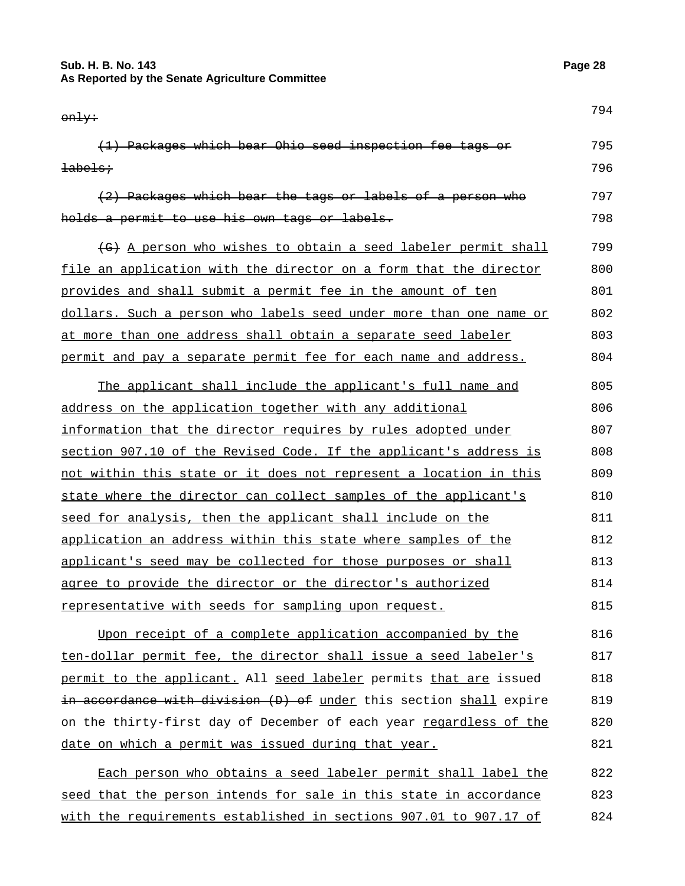#### **Sub. H. B. No. 143 Page 28 As Reported by the Senate Agriculture Committee**

only: <sup>794</sup> (1) Packages which bear Ohio seed inspection fee tags or labels; 795 796 (2) Packages which bear the tags or labels of a person who holds a permit to use his own tags or labels. 797 798 (G) A person who wishes to obtain a seed labeler permit shall file an application with the director on a form that the director provides and shall submit a permit fee in the amount of ten dollars. Such a person who labels seed under more than one name or at more than one address shall obtain a separate seed labeler permit and pay a separate permit fee for each name and address. 799 800 801 802 803 804 The applicant shall include the applicant's full name and address on the application together with any additional information that the director requires by rules adopted under section 907.10 of the Revised Code. If the applicant's address is 805 806 807 808

not within this state or it does not represent a location in this state where the director can collect samples of the applicant's seed for analysis, then the applicant shall include on the application an address within this state where samples of the applicant's seed may be collected for those purposes or shall agree to provide the director or the director's authorized representative with seeds for sampling upon request. 809 810 811 812 813 814 815

Upon receipt of a complete application accompanied by the ten-dollar permit fee, the director shall issue a seed labeler's permit to the applicant. All seed labeler permits that are issued in accordance with division (D) of under this section shall expire on the thirty-first day of December of each year regardless of the date on which a permit was issued during that year. 816 817 818 819 820 821

Each person who obtains a seed labeler permit shall label the seed that the person intends for sale in this state in accordance with the requirements established in sections 907.01 to 907.17 of 822 823 824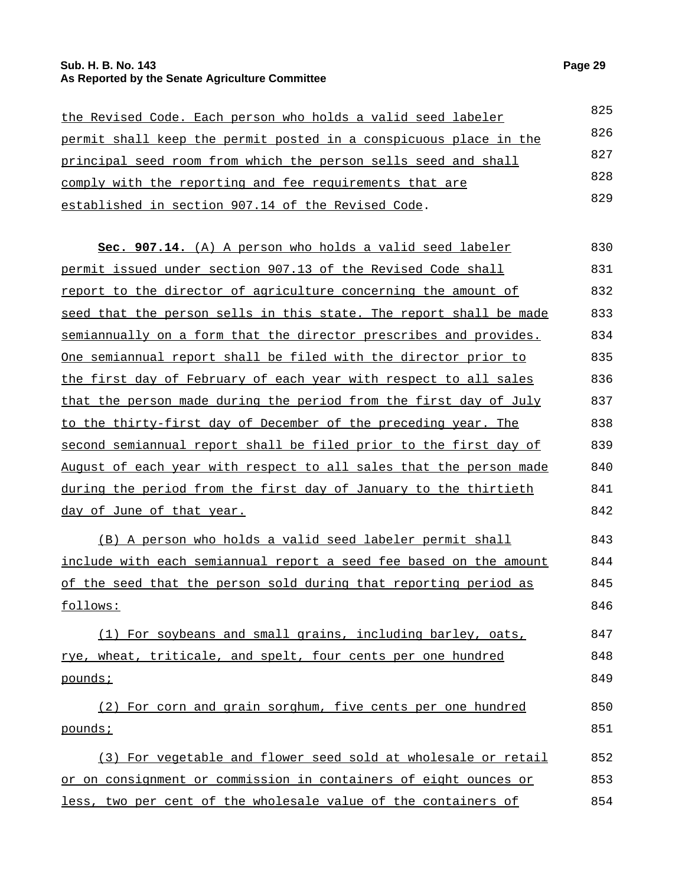#### **Sub. H. B. No. 143 Page 29 As Reported by the Senate Agriculture Committee**

| the Revised Code. Each person who holds a valid seed labeler      | 825 |
|-------------------------------------------------------------------|-----|
| permit shall keep the permit posted in a conspicuous place in the | 826 |
| principal seed room from which the person sells seed and shall    | 827 |
| comply with the reporting and fee requirements that are           | 828 |
| established in section 907.14 of the Revised Code.                | 829 |

| Sec. 907.14. (A) A person who holds a valid seed labeler              | 830         |
|-----------------------------------------------------------------------|-------------|
| permit issued under section 907.13 of the Revised Code shall          | 831         |
| report to the director of agriculture concerning the amount of        | 832         |
| seed that the person sells in this state. The report shall be made    | 833         |
| semiannually on a form that the director prescribes and provides.     | 834         |
| One semiannual report shall be filed with the director prior to       | 835         |
| the first day of February of each year with respect to all sales      | 836         |
| that the person made during the period from the first day of July     | 837         |
| to the thirty-first day of December of the preceding year. The        | 838         |
| second semiannual report shall be filed prior to the first day of     | 839         |
| August of each year with respect to all sales that the person made    | 840         |
| during the period from the first day of January to the thirtieth      | 841         |
| day of June of that year.                                             | 842         |
| (B) A person who holds a valid seed labeler permit shall              | 843         |
| $in$ glude with each gemisnnual repert a good fee baged on the amount | $O$ $A$ $A$ |

include with each semiannual report a seed fee based on the amount of the seed that the person sold during that reporting period as follows: 844 845 846

(1) For soybeans and small grains, including barley, oats, rye, wheat, triticale, and spelt, four cents per one hundred pounds; 847 848 849

(2) For corn and grain sorghum, five cents per one hundred pounds; 850 851

(3) For vegetable and flower seed sold at wholesale or retail or on consignment or commission in containers of eight ounces or less, two per cent of the wholesale value of the containers of 852 853 854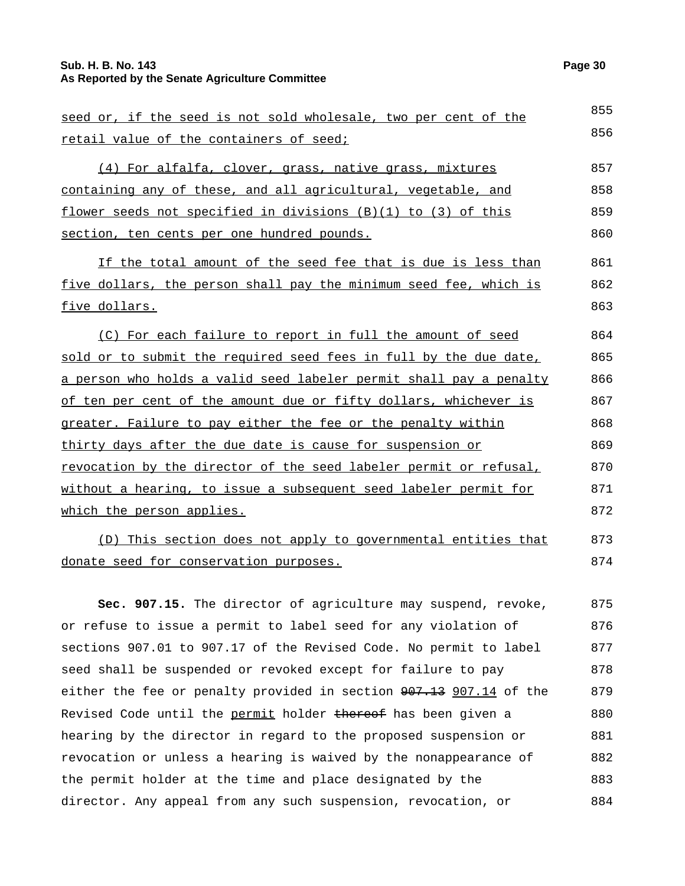#### **Sub. H. B. No. 143 Page 30 As Reported by the Senate Agriculture Committee**

retail value of the containers of seed;

| (4) For alfalfa, clover, grass, native grass, mixtures            | 857 |
|-------------------------------------------------------------------|-----|
| containing any of these, and all agricultural, vegetable, and     | 858 |
| flower seeds not specified in divisions $(B)(1)$ to $(3)$ of this | 859 |
| section, ten cents per one hundred pounds.                        | 860 |

If the total amount of the seed fee that is due is less than five dollars, the person shall pay the minimum seed fee, which is five dollars. 861 862 863

(C) For each failure to report in full the amount of seed sold or to submit the required seed fees in full by the due date, a person who holds a valid seed labeler permit shall pay a penalty of ten per cent of the amount due or fifty dollars, whichever is greater. Failure to pay either the fee or the penalty within thirty days after the due date is cause for suspension or revocation by the director of the seed labeler permit or refusal, without a hearing, to issue a subsequent seed labeler permit for which the person applies. 864 865 866 867 868 869 870 871 872

(D) This section does not apply to governmental entities that donate seed for conservation purposes. 873 874

**Sec. 907.15.** The director of agriculture may suspend, revoke, or refuse to issue a permit to label seed for any violation of sections 907.01 to 907.17 of the Revised Code. No permit to label seed shall be suspended or revoked except for failure to pay either the fee or penalty provided in section  $907.13$  907.14 of the Revised Code until the permit holder thereof has been given a hearing by the director in regard to the proposed suspension or revocation or unless a hearing is waived by the nonappearance of the permit holder at the time and place designated by the director. Any appeal from any such suspension, revocation, or 875 876 877 878 879 880 881 882 883 884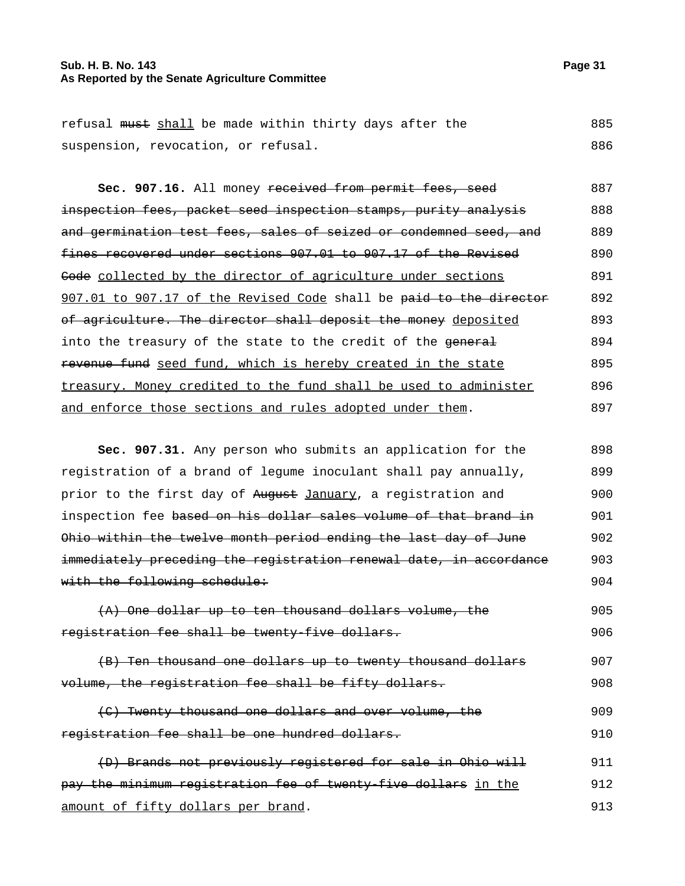#### **Sub. H. B. No. 143 Page 31 As Reported by the Senate Agriculture Committee**

| Sec. 907.16. All money received from permit fees, seed             | 887 |
|--------------------------------------------------------------------|-----|
| inspection fees, packet seed inspection stamps, purity analysis    | 888 |
| and germination test fees, sales of seized or condemned seed, and  | 889 |
| fines recovered under sections 907.01 to 907.17 of the Revised     | 890 |
| Gode collected by the director of agriculture under sections       | 891 |
| 907.01 to 907.17 of the Revised Code shall be paid to the director | 892 |
| of agriculture. The director shall deposit the money deposited     | 893 |
| into the treasury of the state to the credit of the general        | 894 |
| revenue fund seed fund, which is hereby created in the state       | 895 |
| treasury. Money credited to the fund shall be used to administer   | 896 |
| and enforce those sections and rules adopted under them.           | 897 |

**Sec. 907.31.** Any person who submits an application for the registration of a brand of legume inoculant shall pay annually, prior to the first day of August January, a registration and inspection fee based on his dollar sales volume of that brand in Ohio within the twelve month period ending the last day of June immediately preceding the registration renewal date, in accordance with the following schedule: 898 899 900 901 902 903 904  $0.95$ 

|                                                | $(A)$ One dollar up to ten thousand dollars volume, the | 905 |
|------------------------------------------------|---------------------------------------------------------|-----|
| registration fee shall be twenty-five dollars. |                                                         | 906 |

|  |                                                      | (B) Ten thousand one dollars up to twenty thousand dollars | 907 |
|--|------------------------------------------------------|------------------------------------------------------------|-----|
|  | volume, the registration fee shall be fifty dollars. |                                                            | 908 |

(C) Twenty thousand one dollars and over volume, the registration fee shall be one hundred dollars. 909 910

(D) Brands not previously registered for sale in Ohio will pay the minimum registration fee of twenty-five dollars in the amount of fifty dollars per brand. 911 912 913